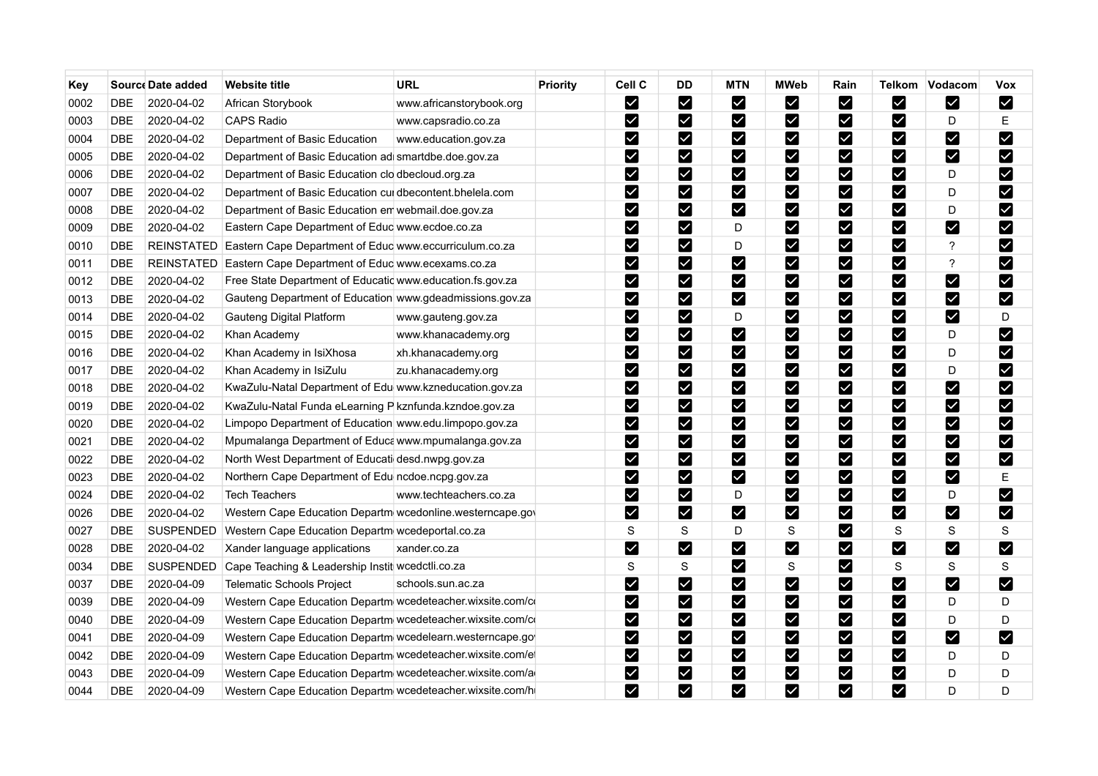| Key  |            | Source Date added | <b>Website title</b>                                       | <b>URL</b>               | <b>Priority</b> | Cell C                    | <b>DD</b>               | <b>MTN</b>            | <b>MWeb</b>                  | Rain                    |                           | Telkom Vodacom           | Vox                   |
|------|------------|-------------------|------------------------------------------------------------|--------------------------|-----------------|---------------------------|-------------------------|-----------------------|------------------------------|-------------------------|---------------------------|--------------------------|-----------------------|
| 0002 | <b>DBE</b> | 2020-04-02        | African Storybook                                          | www.africanstorybook.org |                 | $\blacktriangleright$     | $\blacktriangledown$    | M                     | M                            | $\blacktriangleright$   | Ø                         | $\blacktriangleright$    | M                     |
| 0003 | <b>DBE</b> | 2020-04-02        | CAPS Radio                                                 | www.capsradio.co.za      |                 | $\blacktriangleright$     | ⊻                       | M                     | ⊻                            | $\blacktriangledown$    | Ø                         | D                        | E                     |
| 0004 | DBE        | 2020-04-02        | Department of Basic Education                              | www.education.gov.za     |                 | M                         | Y                       | M                     | M                            | M                       | Ø                         | M                        | M                     |
| 0005 | DBE        | 2020-04-02        | Department of Basic Education ad smartdbe.doe.gov.za       |                          |                 | M                         | $\blacktriangledown$    | Ø                     | $\blacktriangleright$        | M                       | $\blacktriangleright$     | M                        | M                     |
| 0006 | <b>DBE</b> | 2020-04-02        | Department of Basic Education clo dbecloud org.za          |                          |                 | ☑                         | $\blacktriangledown$    | $\blacktriangledown$  | $\blacktriangledown$         | $\blacktriangledown$    | M                         | D                        | $\blacktriangledown$  |
| 0007 | <b>DBE</b> | 2020-04-02        | Department of Basic Education cui dbecontent.bhelela.com   |                          |                 | $\blacktriangleright$     | $\blacktriangledown$    | M                     | $\vert\mathcal{L}\vert$      | M                       | V                         | D                        | M                     |
| 0008 | <b>DBE</b> | 2020-04-02        | Department of Basic Education en webmail doe gov.za        |                          |                 | M                         | $\blacktriangledown$    | $\blacktriangledown$  | M                            | M                       | Ø                         | D                        | M                     |
| 0009 | <b>DBE</b> | 2020-04-02        | Eastern Cape Department of Educ www.ecdoe.co.za            |                          |                 | M                         | M                       | D                     | ☑                            | M                       | M                         | M                        | M                     |
| 0010 | <b>DBE</b> | <b>REINSTATED</b> | Eastern Cape Department of Educ www.eccurriculum.co.za     |                          |                 | $\blacktriangleright$     | $\blacktriangledown$    | D                     | $\overline{\mathbf{Y}}$      | M                       | $\blacktriangleright$     | $\overline{\mathcal{E}}$ | M                     |
| 0011 | <b>DBE</b> | <b>REINSTATED</b> | Eastern Cape Department of Educ www.ecexams.co.za          |                          |                 | $\boldsymbol{\mathsf{v}}$ | $\blacktriangledown$    | M                     | $\blacktriangledown$         | M                       | Ø                         | $\overline{?}$           | M                     |
| 0012 | <b>DBE</b> | 2020-04-02        | Free State Department of Educatic www.education.fs.gov.za  |                          |                 | M                         | M                       | M                     | $\overline{\mathbf{Y}}$      | M                       | Ø                         | M                        | $\blacktriangleright$ |
| 0013 | <b>DBE</b> | 2020-04-02        | Gauteng Department of Education www.gdeadmissions.gov.za   |                          |                 | M                         | $\blacktriangledown$    | M                     | $\blacktriangledown$         | M                       | M                         | M                        | M                     |
| 0014 | <b>DBE</b> | 2020-04-02        | Gauteng Digital Platform                                   | www.gauteng.gov.za       |                 | M                         | $\blacktriangledown$    | D                     | $\blacktriangledown$         | M                       | V                         | M                        | D                     |
| 0015 | <b>DBE</b> | 2020-04-02        | Khan Academy                                               | www.khanacademy.org      |                 | $\blacktriangledown$      | $\blacktriangledown$    | V                     | M                            | Ø                       | Ø                         | D                        | M                     |
| 0016 | <b>DBE</b> | 2020-04-02        | Khan Academy in IsiXhosa                                   | xh.khanacademy.org       |                 | M                         | M                       | $\blacktriangleright$ | $\overline{\textbf{X}}$      | M                       | V                         | D                        | M                     |
| 0017 | DBE        | 2020-04-02        | Khan Academy in IsiZulu                                    | zu.khanacademy.org       |                 | M                         | $\blacktriangledown$    | $\blacktriangledown$  | $\blacktriangledown$         | M                       | $\vert\mathbf{v}\vert$    | D                        | M                     |
| 0018 | <b>DBE</b> | 2020-04-02        | KwaZulu-Natal Department of Edu www.kzneducation.gov.za    |                          |                 | $\blacktriangleright$     | M                       | M                     | ☑                            | M                       | Ø                         | $\blacktriangleright$    | M                     |
| 0019 | <b>DBE</b> | 2020-04-02        | KwaZulu-Natal Funda eLearning P kznfunda.kzndoe.gov.za     |                          |                 | $\blacktriangleright$     | $\overline{\mathbf{v}}$ | $\blacktriangledown$  | $\overline{\mathbf{v}}$      | $\overline{\mathsf{X}}$ | $\vert\mathbf{v}\vert$    | M                        | M                     |
| 0020 | <b>DBE</b> | 2020-04-02        | Limpopo Department of Education www.edu.limpopo.gov.za     |                          |                 | $\blacktriangleright$     | $\blacktriangledown$    | M                     |                              | $\blacktriangledown$    | Ø                         | $\vert\mathbf{v}\vert$   | $\blacktriangledown$  |
| 0021 | <b>DBE</b> | 2020-04-02        | Mpumalanga Department of Educa www.mpumalanga.gov.za       |                          |                 | M                         | ☑                       | M                     | M                            | M                       | Ø                         | M                        | M                     |
| 0022 | <b>DBE</b> | 2020-04-02        | North West Department of Educati desd.nwpg.gov.za          |                          |                 | $\blacktriangledown$      | $\blacktriangledown$    | M                     | $\blacktriangledown$         | M                       | M                         | M                        | M                     |
| 0023 | <b>DBE</b> | 2020-04-02        | Northern Cape Department of Edu ncdoe ncpg.gov.za          |                          |                 | $\blacktriangleright$     | M                       | M                     | $\blacktriangledown$         | $\checkmark$            | M                         | $\blacktriangleright$    | E                     |
| 0024 | <b>DBE</b> | 2020-04-02        | <b>Tech Teachers</b>                                       | www.techteachers.co.za   |                 | M                         | $\blacktriangledown$    | D                     | $\blacktriangledown$         | $\blacktriangledown$    | ☑                         | D                        | $\blacktriangledown$  |
| 0026 | DBE        | 2020-04-02        | Western Cape Education Departm wcedonline.westerncape.gov  |                          |                 | M                         | M                       | M                     | M                            | M                       | Ø                         | M                        | M                     |
| 0027 | <b>DBE</b> | <b>SUSPENDED</b>  | Western Cape Education Departm wcedeportal.co.za           |                          |                 | S                         | S                       | D                     | S                            | Ø                       | S                         | S                        | S                     |
| 0028 | <b>DBE</b> | 2020-04-02        | Xander language applications                               | xander.co.za             |                 | $\blacktriangleright$     | $\blacktriangledown$    | M                     | $\blacktriangleright$        | M                       | M                         | M                        | $\blacktriangleright$ |
| 0034 | <b>DBE</b> | <b>SUSPENDED</b>  | Cape Teaching & Leadership Instit wcedctli.co.za           |                          |                 | S                         | S                       | M                     | S                            | $\blacktriangledown$    | S                         | S                        | S                     |
| 0037 | <b>DBE</b> | 2020-04-09        | <b>Telematic Schools Project</b>                           | schools sun ac.za        |                 | M                         | M                       | $\blacktriangledown$  | $\boldsymbol{\triangledown}$ | M                       | Ø                         | M                        | M                     |
| 0039 | <b>DBE</b> | 2020-04-09        | Western Cape Education Departm wcedeteacher.wixsite.com/co |                          |                 | $\blacktriangleright$     | $\blacktriangledown$    | M                     | $\overline{\mathbf{Y}}$      | M                       | $\boldsymbol{\mathsf{z}}$ | D                        | D                     |
| 0040 | <b>DBE</b> | 2020-04-09        | Western Cape Education Departm wcedeteacher.wixsite.com/co |                          |                 | M                         | M                       | $\blacktriangleright$ | $\vert\mathbf{v}\vert$       | M                       | Ø                         | D                        | D                     |
| 0041 | DBE        | 2020-04-09        | Western Cape Education Departm wcedelearn westerncape.go   |                          |                 | $\blacktriangledown$      | $\blacktriangleright$   | M                     | $\blacktriangledown$         | M                       | M                         | M                        | M                     |
| 0042 | <b>DBE</b> | 2020-04-09        | Western Cape Education Departm wcedeteacher.wixsite.com/et |                          |                 | M                         | M                       | M                     | M                            | M                       | ☑                         | D                        | D                     |
| 0043 | <b>DBE</b> | 2020-04-09        | Western Cape Education Departm wcedeteacher wixsite com/a  |                          |                 | $\blacktriangleright$     | M                       | $\blacktriangledown$  | $\blacktriangleright$        | M                       | M                         | D                        | D                     |
| 0044 | <b>DBE</b> | 2020-04-09        | Western Cape Education Departm wcedeteacher.wixsite.com/h  |                          |                 | M                         | $\blacktriangleright$   | M                     | M                            | M                       | $\blacktriangleright$     | D                        | D                     |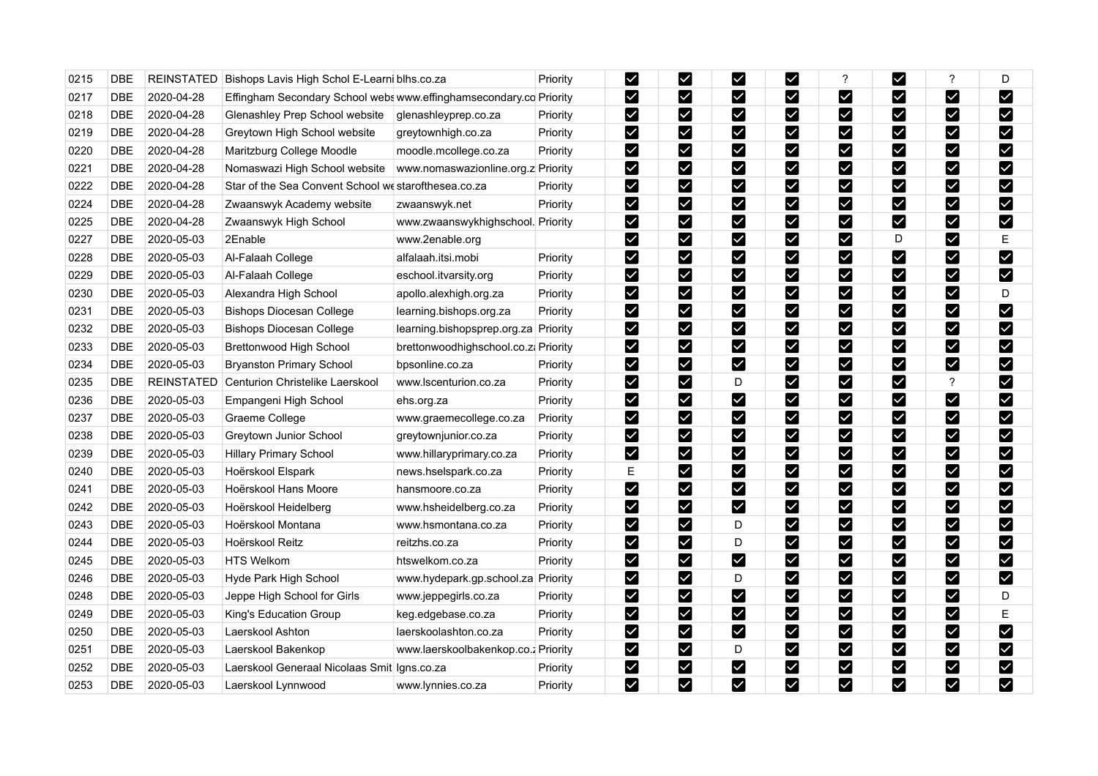| 0215 | DBE                       | <b>REINSTATED</b> | Bishops Lavis High Schol E-Learni blhs.co.za                       |                                      | Priority        | M                     | $\blacktriangledown$         | M                     | $\overline{\mathsf{X}}$      | ?                       | ⊻                     | $\overline{?}$               | D                     |
|------|---------------------------|-------------------|--------------------------------------------------------------------|--------------------------------------|-----------------|-----------------------|------------------------------|-----------------------|------------------------------|-------------------------|-----------------------|------------------------------|-----------------------|
| 0217 | <b>DBE</b>                | 2020-04-28        | Effingham Secondary School webs www.effinghamsecondary.co Priority |                                      |                 | $\blacktriangledown$  | $\blacktriangleright$        | $\blacktriangledown$  | M                            | $\blacktriangledown$    | ☑                     | M                            | $\blacktriangleright$ |
| 0218 | <b>DBE</b>                | 2020-04-28        | Glenashley Prep School website                                     | glenashleyprep.co.za                 | <b>Priority</b> | M                     | V                            | M                     | M                            | V                       | Ø                     | M                            | M                     |
| 0219 | <b>DBE</b>                | 2020-04-28        | Greytown High School website                                       | greytownhigh.co.za                   | Priority        | $\blacktriangleright$ | $\blacktriangleright$        | M                     | M                            | $\blacktriangledown$    | $\blacktriangledown$  | M                            | $\blacktriangleright$ |
| 0220 | <b>DBE</b>                | 2020-04-28        | Maritzburg College Moodle                                          | moodle.mcollege.co.za                | <b>Priority</b> | $\blacktriangleright$ | $\blacktriangleright$        | M                     |                              | $\blacktriangledown$    | M                     | $\boldsymbol{\triangledown}$ | M                     |
| 0221 | <b>DBE</b>                | 2020-04-28        | Nomaswazi High School website                                      | www.nomaswazionline.org.z Priority   |                 | M                     | $\blacktriangleright$        | M                     | M                            | ⊻                       | Ø                     | M                            | M                     |
| 0222 | <b>DBE</b>                | 2020-04-28        | Star of the Sea Convent School we starofthesea.co.za               |                                      | Priority        | $\blacktriangleright$ | $\blacktriangleright$        | M                     | $\blacktriangleright$        | ☑                       | M                     | $\boldsymbol{\triangledown}$ | M                     |
| 0224 | <b>DBE</b>                | 2020-04-28        | Zwaanswyk Academy website                                          | zwaanswyk.net                        | <b>Priority</b> | M                     | $\blacktriangleright$        | M                     | $\blacktriangleright$        | $\blacktriangledown$    | $\blacktriangledown$  | M                            | M                     |
| 0225 | <b>DBE</b>                | 2020-04-28        | Zwaanswyk High School                                              | www.zwaanswykhighschool. Priority    |                 | M                     | $\boldsymbol{\triangledown}$ | M                     | $\blacktriangleright$        | $\blacktriangledown$    | M                     | M                            | M                     |
| 0227 | <b>DBE</b>                | 2020-05-03        | 2Enable                                                            | www.2enable.org                      |                 | M                     | M                            | M                     | M                            | $\blacktriangledown$    | D                     | kΖ                           | E                     |
| 0228 | DBE                       | 2020-05-03        | Al-Falaah College                                                  | alfalaah.itsi.mobi                   | Priority        | M                     | M                            | M                     | M                            | $\blacktriangleright$   | $\blacktriangleright$ | M                            | $\blacktriangledown$  |
| 0229 | DBE                       | 2020-05-03        | Al-Falaah College                                                  | eschool.itvarsity.org                | <b>Priority</b> | $\blacktriangleright$ | $\blacktriangledown$         | M                     | $\blacktriangleright$        | $\blacktriangledown$    | M                     | Ø                            | $\blacktriangleright$ |
| 0230 | <b>DBE</b>                | 2020-05-03        | Alexandra High School                                              | apollo.alexhigh.org.za               | <b>Priority</b> | M                     | $\blacktriangleright$        | M                     | M                            | ⊻                       | Ø                     | M                            | D                     |
| 0231 | <b>DBE</b>                | 2020-05-03        | <b>Bishops Diocesan College</b>                                    | learning bishops org.za              | Priority        | $\blacktriangleright$ | $\blacktriangledown$         | M                     | $\blacktriangleright$        | $\blacktriangledown$    | M                     | M                            | $\blacktriangleright$ |
| 0232 | DBE                       | 2020-05-03        | <b>Bishops Diocesan College</b>                                    | learning bishopsprep.org.za Priority |                 | $\blacktriangleright$ | $\overline{\textbf{Y}}$      | $\blacktriangledown$  | M                            | $\overline{\textbf{Y}}$ | $\blacktriangledown$  | M                            | M                     |
| 0233 | <b>DBE</b>                | 2020-05-03        | Brettonwood High School                                            | brettonwoodhighschool.co.zi Priority |                 | $\blacktriangleright$ | $\blacktriangleright$        | M                     | $\blacktriangleright$        | $\checkmark$            | M                     | 7                            | M                     |
| 0234 | <b>DBE</b>                | 2020-05-03        | <b>Bryanston Primary School</b>                                    | bpsonline.co.za                      | Priority        | M                     | $\blacktriangleright$        | M                     | M                            | ☑                       | $\blacktriangleright$ | M                            | M                     |
| 0235 | $\overline{\mathsf{DBE}}$ | <b>REINSTATED</b> | Centurion Christelike Laerskool                                    | www.lscenturion.co.za                | <b>Priority</b> | $\blacktriangleright$ | $\blacktriangleright$        | D                     | $\blacktriangleright$        | $\blacktriangledown$    | M                     | ?                            | M                     |
| 0236 | <b>DBE</b>                | 2020-05-03        | Empangeni High School                                              | ehs.org.za                           | Priority        | M                     | $\blacktriangleright$        | M                     | $\overline{\mathbf{Y}}$      | $\blacktriangledown$    | M                     | M                            | M                     |
| 0237 | <b>DBE</b>                | 2020-05-03        | Graeme College                                                     | www.graemecollege.co.za              | <b>Priority</b> | $\blacktriangleright$ | M                            | M                     | $\blacktriangledown$         | $\blacktriangledown$    | M                     | $\boldsymbol{\triangledown}$ | M                     |
| 0238 | <b>DBE</b>                | 2020-05-03        | Greytown Junior School                                             | greytownjunior.co.za                 | Priority        | $\blacktriangleright$ | $\blacktriangleright$        | M                     | M                            | $\blacktriangleright$   | M                     | M                            | $\blacktriangleright$ |
| 0239 | <b>DBE</b>                | 2020-05-03        | <b>Hillary Primary School</b>                                      | www.hillaryprimary.co.za             | <b>Priority</b> | M                     | $\overline{\textbf{Y}}$      | M                     | M                            | $\boldsymbol{\vee}$     | ☑                     | M                            | M                     |
| 0240 | <b>DBE</b>                | 2020-05-03        | Hoërskool Elspark                                                  | news.hselspark.co.za                 | <b>Priority</b> | Ε                     | M                            | Ø                     | $\boldsymbol{\triangledown}$ | $\blacktriangledown$    | M                     | $\blacktriangledown$         | M                     |
| 0241 | <b>DBE</b>                | 2020-05-03        | Hoërskool Hans Moore                                               | hansmoore.co.za                      | Priority        | M                     | $\boldsymbol{\triangledown}$ | $\blacktriangledown$  | M                            | $\blacktriangledown$    | M                     | M                            | M                     |
| 0242 | DBE                       | 2020-05-03        | Hoërskool Heidelberg                                               | www.hsheidelberg.co.za               | <b>Priority</b> | M                     | M                            | $\blacktriangledown$  | $\blacktriangleright$        | $\checkmark$            | Ø                     | M                            | M                     |
| 0243 | <b>DBE</b>                | 2020-05-03        | Hoërskool Montana                                                  | www.hsmontana.co.za                  | Priority        | M                     | $\blacktriangleright$        | D                     | M                            | $\boxed{\checkmark}$    | M                     | M                            | M                     |
| 0244 | <b>DBE</b>                | 2020-05-03        | Hoërskool Reitz                                                    | reitzhs.co.za                        | Priority        | $\blacktriangleright$ | $\blacktriangleright$        | D                     | $\blacktriangleright$        | $\blacktriangledown$    | M                     | $\boldsymbol{\triangledown}$ | M                     |
| 0245 | $\overline{\mathsf{DBE}}$ | 2020-05-03        | <b>HTS Welkom</b>                                                  | htswelkom.co.za                      | <b>Priority</b> | $\blacktriangleright$ | $\blacktriangleright$        | $\blacktriangleright$ | M                            | $\blacktriangleright$   | M                     | M                            | $\blacktriangleright$ |
| 0246 | <b>DBE</b>                | 2020-05-03        | Hyde Park High School                                              | www.hydepark.gp.school.za Priority   |                 | $\blacktriangleright$ | $\boldsymbol{\triangledown}$ | D                     | M                            | $\blacktriangleright$   | M                     | 7                            | $\blacktriangleright$ |
| 0248 | <b>DBE</b>                | 2020-05-03        | Jeppe High School for Girls                                        | www.jeppegirls.co.za                 | <b>Priority</b> | M                     | $\blacktriangledown$         | M                     | M                            | $\blacktriangledown$    | M                     | $\blacktriangleright$        | D                     |
| 0249 | <b>DBE</b>                | 2020-05-03        | King's Education Group                                             | keg.edgebase.co.za                   | <b>Priority</b> | M                     | $\blacktriangledown$         | M                     | $\blacktriangleright$        | $\blacktriangledown$    | M                     | M                            | E                     |
| 0250 | <b>DBE</b>                | 2020-05-03        | Laerskool Ashton                                                   | laerskoolashton.co.za                | Priority        | M                     | ☑                            | M                     | $\blacktriangleright$        | ☑                       | $\blacktriangleright$ | M                            | $\blacktriangleright$ |
| 0251 | <b>DBE</b>                | 2020-05-03        | Laerskool Bakenkop                                                 | www.laerskoolbakenkop.co.; Priority  |                 | M                     |                              | D                     | M                            | $\boxed{\checkmark}$    | M                     | M                            | $\blacktriangleright$ |
| 0252 | DBE                       | 2020-05-03        | Laerskool Generaal Nicolaas Smit Igns.co.za                        |                                      | Priority        | $\blacktriangleright$ | $\blacktriangledown$         | $\blacktriangledown$  | $\blacktriangleright$        | $\blacktriangleright$   | M                     | $\blacktriangleright$        | $\blacktriangleright$ |
| 0253 | <b>DBE</b>                | 2020-05-03        | Laerskool Lynnwood                                                 | www.lynnies.co.za                    | <b>Priority</b> | M                     | $\overline{\mathsf{v}}$      | $\blacktriangledown$  | M                            | $\blacktriangledown$    | M                     | M                            | $\blacktriangledown$  |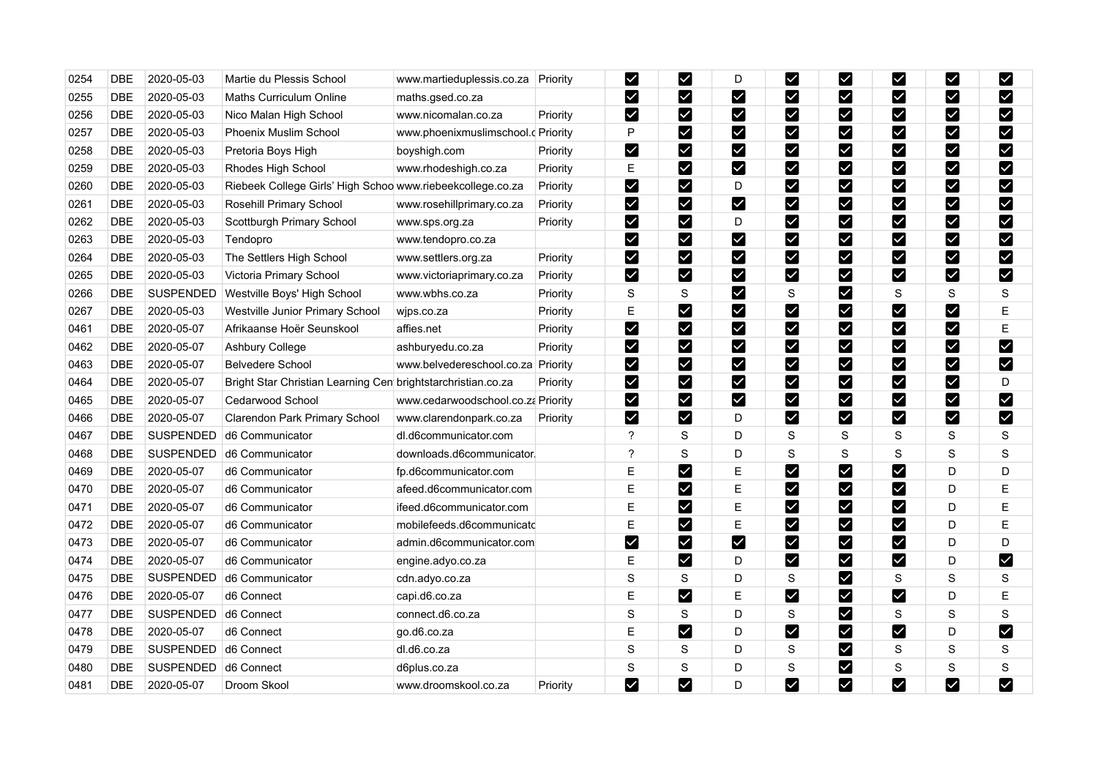| 0254 | <b>DBE</b>                | 2020-05-03       | Martie du Plessis School                                     | www.martieduplessis.co.za          | Priority | $\blacktriangleright$        | M                    | D                     | M                               | $\checkmark$         | Ø                      | M                     | M                     |
|------|---------------------------|------------------|--------------------------------------------------------------|------------------------------------|----------|------------------------------|----------------------|-----------------------|---------------------------------|----------------------|------------------------|-----------------------|-----------------------|
| 0255 | <b>DBE</b>                | 2020-05-03       | <b>Maths Curriculum Online</b>                               | maths.gsed.co.za                   |          | M                            | M                    | M                     | M                               | M                    | ⊻                      | M                     | M                     |
| 0256 | <b>DBE</b>                | 2020-05-03       | Nico Malan High School                                       | www.nicomalan.co.za                | Priority | $\boldsymbol{\triangledown}$ | M                    | M                     | Ø                               | M                    | Ø                      | M                     | M                     |
| 0257 | <b>DBE</b>                | 2020-05-03       | Phoenix Muslim School                                        | www.phoenixmuslimschool.c Priority |          | P                            | M                    | M                     | $\blacktriangledown$            | M                    | $\blacktriangleright$  | $\blacktriangleright$ | M                     |
| 0258 | <b>DBE</b>                | 2020-05-03       | Pretoria Boys High                                           | boyshigh.com                       | Priority | $\blacktriangleright$        | $\blacktriangledown$ | M                     |                                 | $\blacktriangledown$ | Ø                      | M                     | M                     |
| 0259 | <b>DBE</b>                | 2020-05-03       | Rhodes High School                                           | www.rhodeshigh.co.za               | Priority | E                            | M                    | M                     | $\overline{\mathbf{v}}$         | $\blacktriangledown$ | Ø                      | M                     | M                     |
| 0260 | <b>DBE</b>                | 2020-05-03       | Riebeek College Girls' High Schoo www.riebeekcollege.co.za   |                                    | Priority | $\blacktriangleright$        | $\blacktriangledown$ | D                     | $\boldsymbol{\triangledown}$    | M                    | Ø                      | M                     | M                     |
| 0261 | <b>DBE</b>                | 2020-05-03       | Rosehill Primary School                                      | www.rosehillprimary.co.za          | Priority | M                            | M                    | $\blacktriangleright$ | $\blacktriangledown$            | $\blacktriangledown$ | $\blacktriangleright$  | M                     | M                     |
| 0262 | <b>DBE</b>                | 2020-05-03       | Scottburgh Primary School                                    | www.sps.org.za                     | Priority | $\blacktriangleright$        | M                    | D                     | $\boldsymbol{\nabla}$           | $\blacktriangledown$ | Ø                      | M                     | Y                     |
| 0263 | <b>DBE</b>                | 2020-05-03       | Tendopro                                                     | www.tendopro.co.za                 |          | $\boldsymbol{\triangledown}$ | M                    | M                     | $\overline{\mathbf{Y}}$         | M                    | M                      | M                     | $\blacktriangledown$  |
| 0264 | <b>DBE</b>                | 2020-05-03       | The Settlers High School                                     | www.settlers.org.za                | Priority | M                            | M                    | M                     | ☑                               | M                    | M                      | M                     | M                     |
| 0265 | <b>DBE</b>                | 2020-05-03       | Victoria Primary School                                      | www.victoriaprimary.co.za          | Priority | $\blacktriangleright$        | $\blacktriangledown$ | $\blacktriangledown$  | $\blacktriangledown$            | $\blacktriangledown$ | Ø                      | M                     | $\blacktriangleright$ |
| 0266 | <b>DBE</b>                | SUSPENDED        | Westville Boys' High School                                  | www.wbhs.co.za                     | Priority | $\mathbf S$                  | $\mathbf S$          | M                     | S                               | $\blacktriangledown$ | $\mathbf S$            | S                     | ${\mathsf S}$         |
| 0267 | <b>DBE</b>                | 2020-05-03       | Westville Junior Primary School                              | wjps.co.za                         | Priority | E                            | M                    | $\blacktriangledown$  | $\boldsymbol{\triangledown}$    | M                    | Ø                      | M                     | E                     |
| 0461 | <b>DBE</b>                | 2020-05-07       | Afrikaanse Hoër Seunskool                                    | affies net                         | Priority | M                            | M                    | M                     | $\blacktriangledown$            | M                    | $\blacktriangleright$  | M                     | E                     |
| 0462 | DBE                       | 2020-05-07       | Ashbury College                                              | ashburyedu.co.za                   | Priority | M                            | $\blacktriangledown$ | V                     |                                 | $\blacktriangledown$ | $\blacktriangleright$  | M                     | Z                     |
| 0463 | <b>DBE</b>                | 2020-05-07       | <b>Belvedere School</b>                                      | www.belvedereschool.co.za Priority |          | $\blacktriangledown$         | M                    | M                     | $\blacktriangledown$            | $\blacktriangledown$ | V                      | M                     | M                     |
| 0464 | <b>DBE</b>                | 2020-05-07       | Bright Star Christian Learning Cen brightstarchristian.co.za |                                    | Priority | $\blacktriangleright$        | M                    | M                     | $\boldsymbol{\nabla}$           | M                    | Ø                      | $\blacktriangleright$ | D                     |
| 0465 | $\overline{\mathsf{DBE}}$ | 2020-05-07       | Cedarwood School                                             | www.cedarwoodschool.co.za Priority |          | $\blacktriangleright$        | M                    | $\blacktriangleright$ | $\blacktriangledown$            | M                    | $\blacktriangleright$  | M                     | $\blacktriangleright$ |
| 0466 | <b>DBE</b>                | 2020-05-07       | Clarendon Park Primary School                                | www.clarendonpark.co.za            | Priority | M                            | M                    | D                     | $\vert\mathbf{v}\vert$          | M                    | M                      | M                     | $\blacktriangledown$  |
| 0467 | <b>DBE</b>                | SUSPENDED        | d6 Communicator                                              | dl.d6communicator.com              |          | ?                            | S                    | D                     | S                               | S                    | S                      | S                     | S                     |
| 0468 | <b>DBE</b>                | SUSPENDED        | d6 Communicator                                              | downloads.d6communicator.          |          | ?                            | $\rm S$              | D                     | S                               | S                    | $\mathbf S$            | S                     | ${\mathsf S}$         |
| 0469 | <b>DBE</b>                | 2020-05-07       | d6 Communicator                                              | fp.d6communicator.com              |          | E                            | M                    | Е                     | $\blacktriangledown$            | $\blacktriangledown$ | Ø                      | D                     | D                     |
| 0470 | <b>DBE</b>                | 2020-05-07       | d6 Communicator                                              | afeed.d6communicator.com           |          | E                            | M                    | E                     | $\blacktriangledown$            | $\blacktriangledown$ | Ø                      | D                     | $\mathsf E$           |
| 0471 | $\overline{\mathsf{DBE}}$ | 2020-05-07       | d6 Communicator                                              | ifeed.d6communicator.com           |          | E                            | M                    | Ε                     | ☑                               | M                    | Ø                      | D                     | $\mathsf E$           |
| 0472 | <b>DBE</b>                | 2020-05-07       | d6 Communicator                                              | mobilefeeds.d6communicatd          |          | Е                            | M                    | Ε                     | $\blacktriangledown$            | M                    | M                      | D                     | Е                     |
| 0473 | <b>DBE</b>                | 2020-05-07       | d6 Communicator                                              | admin.d6communicator.com           |          | $\blacktriangleright$        | $\blacktriangledown$ | M                     | $\blacktriangledown$            | $\blacktriangledown$ | Ø                      | D                     | D                     |
| 0474 | <b>DBE</b>                | 2020-05-07       | d6 Communicator                                              | engine.adyo.co.za                  |          | E                            | M                    | D                     | $\overline{\mathbf{Y}}$         | $\blacktriangledown$ | M                      | D                     | $\blacktriangleright$ |
| 0475 | <b>DBE</b>                | SUSPENDED        | d6 Communicator                                              | cdn.adyo.co.za                     |          | $\mathbf S$                  | $\rm S$              | D                     | S                               | $\blacktriangledown$ | $\mathbf S$            | $\rm S$               | S                     |
| 0476 | <b>DBE</b>                | 2020-05-07       | d6 Connect                                                   | capi.d6.co.za                      |          | E                            | M                    | Ε                     | $\blacktriangleright$           | M                    | $\vert\mathbf{v}\vert$ | D                     | E                     |
| 0477 | <b>DBE</b>                | SUSPENDED        | d6 Connect                                                   | connect.d6.co.za                   |          | $\mathbf S$                  | $\mathsf S$          | D                     | S                               | $\blacktriangledown$ | $\mathbf S$            | $\mathsf S$           | $\mathbf S$           |
| 0478 | <b>DBE</b>                | 2020-05-07       | d6 Connect                                                   | go.d6.co.za                        |          | E                            | M                    | D                     | $\overline{\blacktriangledown}$ | $\blacktriangledown$ | Ø                      | D                     | M                     |
| 0479 | <b>DBE</b>                | SUSPENDED        | d6 Connect                                                   | dl.d6.co.za                        |          | $\mathbf S$                  | S                    | D                     | S                               | M                    | S                      | S                     | S                     |
| 0480 | <b>DBE</b>                | <b>SUSPENDED</b> | d6 Connect                                                   | d6plus.co.za                       |          | $\mathsf S$                  | S                    | D                     | S                               | M                    | S                      | $\mathbf S$           | ${\mathsf S}$         |
| 0481 | <b>DBE</b>                | 2020-05-07       | Droom Skool                                                  | www.droomskool.co.za               | Priority | M                            | M                    | D                     | $\blacktriangledown$            | M                    | M                      | M                     | M                     |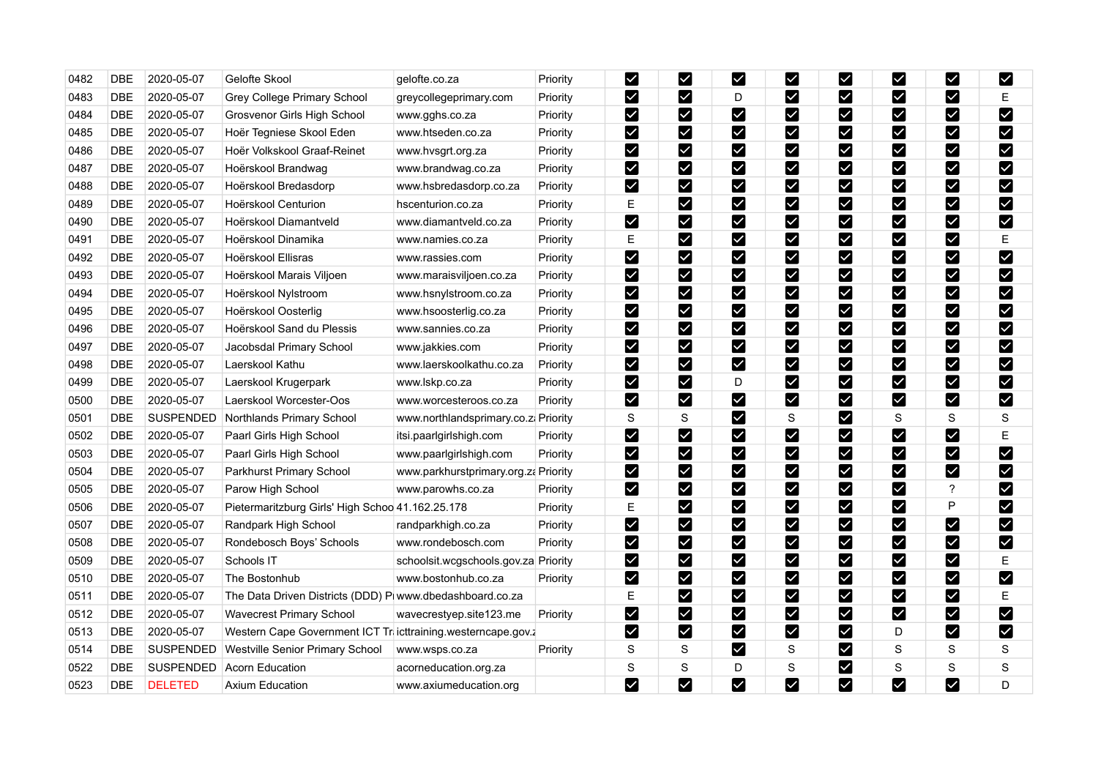| 0482 | <b>DBE</b> | 2020-05-07       | Gelofte Skool                                               | gelofte.co.za                        | Priority        | $\blacktriangleright$ | M                            | M                                  | $\overline{\mathsf{X}}$      | ⊻                            | Ø                     | ⊻                            | M                     |
|------|------------|------------------|-------------------------------------------------------------|--------------------------------------|-----------------|-----------------------|------------------------------|------------------------------------|------------------------------|------------------------------|-----------------------|------------------------------|-----------------------|
| 0483 | <b>DBE</b> | 2020-05-07       | Grey College Primary School                                 | greycollegeprimary.com               | Priority        | M                     | $\boldsymbol{\nabla}$        | D                                  | M                            | M                            | ⊻                     | M                            | Е                     |
| 0484 | <b>DBE</b> | 2020-05-07       | Grosvenor Girls High School                                 | www.gghs.co.za                       | Priority        | M                     | ⊠                            | Ø                                  | $\blacktriangledown$         | ⊠                            | M                     | M                            | M                     |
| 0485 | <b>DBE</b> | 2020-05-07       | Hoër Tegniese Skool Eden                                    | www.htseden.co.za                    | Priority        | M                     | $\boldsymbol{\triangledown}$ | $\blacktriangleright$              | $\overline{\mathbf{v}}$      | $\blacktriangledown$         | $\blacktriangledown$  | M                            | M                     |
| 0486 | <b>DBE</b> | 2020-05-07       | Hoër Volkskool Graaf-Reinet                                 | www.hvsgrt.org.za                    | Priority        | M                     | $\boldsymbol{\triangledown}$ | Ø                                  | $\blacktriangleright$        | $\vert\mathbf{v}\vert$       | V                     | Ø                            | M                     |
| 0487 | <b>DBE</b> | 2020-05-07       | Hoërskool Brandwag                                          | www.brandwag.co.za                   | Priority        | M                     | M                            | Ø                                  | M                            | ∨                            | Ø                     | ☑                            | M                     |
| 0488 | <b>DBE</b> | 2020-05-07       | Hoërskool Bredasdorp                                        | www.hsbredasdorp.co.za               | Priority        | $\blacktriangleright$ | $\boldsymbol{\triangledown}$ | $\blacktriangleright$              | $\bm{\triangledown}$         | $\vert\mathbf{v}\vert$       | M                     | Ø                            | M                     |
| 0489 | <b>DBE</b> | 2020-05-07       | Hoërskool Centurion                                         | hscenturion.co.za                    | Priority        | E                     | $\vert\mathbf{v}\vert$       | $\left\vert \mathbf{v}\right\vert$ | ⊻                            | $\blacktriangledown$         | Ø                     | $\blacktriangledown$         | M                     |
| 0490 | <b>DBE</b> | 2020-05-07       | Hoërskool Diamantveld                                       | www.diamantveld.co.za                | Priority        | M                     | M                            | Y                                  | $\blacktriangleright$        | $\boldsymbol{\triangledown}$ | ⊻                     | M                            | M                     |
| 0491 | <b>DBE</b> | 2020-05-07       | Hoërskool Dinamika                                          | www.namies.co.za                     | Priority        | E                     | M                            | $\blacktriangledown$               | M                            | M                            | M                     | M                            | E                     |
| 0492 | <b>DBE</b> | 2020-05-07       | Hoërskool Ellisras                                          | www.rassies.com                      | Priority        | M                     | $\vert\mathbf{v}\vert$       | M                                  | $\vert\mathbf{v}\vert$       | $\overline{\textbf{Y}}$      | $\blacktriangleright$ | M                            | $\blacktriangledown$  |
| 0493 | <b>DBE</b> | 2020-05-07       | Hoërskool Marais Viljoen                                    | www.maraisviljoen.co.za              | Priority        | $\blacktriangleright$ | $\blacktriangleright$        | M                                  | $\overline{\textbf{Y}}$      | $\blacktriangledown$         | Ø                     | M                            | M                     |
| 0494 | DBE        | 2020-05-07       | Hoërskool Nylstroom                                         | www.hsnylstroom.co.za                | Priority        | $\blacktriangledown$  | $\blacktriangleright$        | M                                  | M                            | ⊻                            | Ø                     | $\boxed{\checkmark}$         | $\blacktriangledown$  |
| 0495 | <b>DBE</b> | 2020-05-07       | Hoërskool Oosterlig                                         | www.hsoosterlig.co.za                | Priority        | $\blacktriangleright$ | M                            | $\blacktriangleright$              | $\blacktriangleright$        | $\blacktriangledown$         | $\blacktriangledown$  | $\boldsymbol{\triangledown}$ | $\blacktriangledown$  |
| 0496 | <b>DBE</b> | 2020-05-07       | Hoërskool Sand du Plessis                                   | www.sannies.co.za                    | Priority        | $\blacktriangledown$  | $\overline{\mathbf{Y}}$      | Ø                                  | ⊻                            | $\blacktriangledown$         | $\blacktriangledown$  | M                            | $\blacktriangledown$  |
| 0497 | <b>DBE</b> | 2020-05-07       | Jacobsdal Primary School                                    | www.jakkies.com                      | Priority        | $\blacktriangleright$ | M                            | Y                                  | $\blacktriangleright$        | $\blacktriangledown$         | M                     | $\boldsymbol{\triangledown}$ | M                     |
| 0498 | <b>DBE</b> | 2020-05-07       | Laerskool Kathu                                             | www.laerskoolkathu.co.za             | Priority        | $\blacktriangleright$ | $\blacktriangleright$        | M                                  | $\blacktriangleright$        | M                            | ⊻                     | M                            | M                     |
| 0499 | <b>DBE</b> | 2020-05-07       | Laerskool Krugerpark                                        | www.lskp.co.za                       | Priority        | M                     | $\boldsymbol{\nabla}$        | D                                  | $\boldsymbol{\triangledown}$ | $\boldsymbol{\nabla}$        | M                     | <b>M</b>                     | $\blacktriangleright$ |
| 0500 | <b>DBE</b> | 2020-05-07       | Laerskool Worcester-Oos                                     | www.worcesteroos.co.za               | Priority        | $\blacktriangleright$ | $\blacktriangleright$        | $\blacktriangleright$              | $\blacktriangleright$        | $\boldsymbol{\vee}$          | M                     | M                            | $\blacktriangleright$ |
| 0501 | DBE        | <b>SUSPENDED</b> | Northlands Primary School                                   | www.northlandsprimary.co.z. Priority |                 | S                     | S                            | M                                  | S                            | ⊻                            | S                     | S                            | S                     |
| 0502 | <b>DBE</b> | 2020-05-07       | Paarl Girls High School                                     | itsi paarlgirlshigh.com              | Priority        | M                     | ⊠                            | Ø                                  | M                            | ∨                            | Ø                     | $\blacktriangledown$         | E                     |
| 0503 | DBE        | 2020-05-07       | Paarl Girls High School                                     | www.paarlgirlshigh.com               | Priority        | $\blacktriangledown$  | $\boldsymbol{\nabla}$        | M                                  | ⊻                            | Y                            | $\blacktriangledown$  | M                            | M                     |
| 0504 | <b>DBE</b> | 2020-05-07       | Parkhurst Primary School                                    | www.parkhurstprimary.org.za          | Priority        | M                     | $\vert\mathbf{v}\vert$       | $\vert\checkmark\vert$             | $\blacktriangledown$         | $\checkmark$                 | $\blacktriangleright$ | M                            | M                     |
| 0505 | <b>DBE</b> | 2020-05-07       | Parow High School                                           | www.parowhs.co.za                    | Priority        | M                     | M                            | Y                                  | M                            | $\boldsymbol{\nabla}$        | $\blacktriangleright$ | ?                            | M                     |
| 0506 | DBE        | 2020-05-07       | Pietermaritzburg Girls' High Schoo 41.162.25.178            |                                      | Priority        | E                     | M                            | $\blacktriangledown$               | M                            | $\boldsymbol{\triangledown}$ | Ø                     | P                            | M                     |
| 0507 | <b>DBE</b> | 2020-05-07       | Randpark High School                                        | randparkhigh.co.za                   | Priority        | $\blacktriangleright$ | $\blacktriangleright$        | $\blacktriangleright$              | M                            | M                            | $\blacktriangledown$  | M                            | $\blacktriangleright$ |
| 0508 | <b>DBE</b> | 2020-05-07       | Rondebosch Boys' Schools                                    | www.rondebosch.com                   | Priority        | $\blacktriangleright$ | M                            | M                                  | $\blacktriangleright$        | $\blacktriangledown$         | Ø                     | M                            | $\blacktriangleright$ |
| 0509 | <b>DBE</b> | 2020-05-07       | Schools IT                                                  | schoolsit.wcgschools.gov.za Priority |                 | $\blacktriangleright$ | $\blacktriangleright$        | M                                  | M                            | M                            | Ø                     | M                            | Ε                     |
| 0510 | <b>DBE</b> | 2020-05-07       | The Bostonhub                                               | www.bostonhub.co.za                  | <b>Priority</b> | M                     | M                            | M                                  | M                            | $\vert\mathbf{v}\vert$       | $\blacktriangleright$ | $\vert\mathbf{v}\vert$       | M                     |
| 0511 | <b>DBE</b> | 2020-05-07       | The Data Driven Districts (DDD) P www.dbedashboard.co.za    |                                      |                 | $\mathsf E$           | $\boldsymbol{\triangledown}$ | Ø                                  | $\blacktriangledown$         | $\blacktriangledown$         | M                     | M                            | E                     |
| 0512 | <b>DBE</b> | 2020-05-07       | <b>Wavecrest Primary School</b>                             | wavecrestyep.site123.me              | Priority        | M                     | $\blacktriangleright$        | V                                  | $\blacktriangleright$        | $\blacktriangledown$         | V                     | M                            | M                     |
| 0513 | <b>DBE</b> | 2020-05-07       | Western Cape Government ICT Tricttraining westerncape.gov.z |                                      |                 | M                     | M                            | $\blacktriangleright$              | $\blacktriangleright$        | M                            | D                     | Ø                            | $\blacktriangleright$ |
| 0514 | <b>DBE</b> | <b>SUSPENDED</b> | Westville Senior Primary School                             | www.wsps.co.za                       | Priority        | S                     | S                            | M                                  | S                            | M                            | S                     | S                            | S                     |
| 0522 | <b>DBE</b> | <b>SUSPENDED</b> | <b>Acorn Education</b>                                      | acorneducation.org.za                |                 | ${\mathsf S}$         | $\mathbf S$                  | D                                  | S                            | $\boldsymbol{\triangledown}$ | $\mathbf S$           | S                            | ${\mathsf S}$         |
| 0523 | <b>DBE</b> | <b>DELETED</b>   | <b>Axium Education</b>                                      | www.axiumeducation.org               |                 | M                     | M                            | $\blacktriangledown$               | M                            | $\blacktriangledown$         | M                     | M                            | D                     |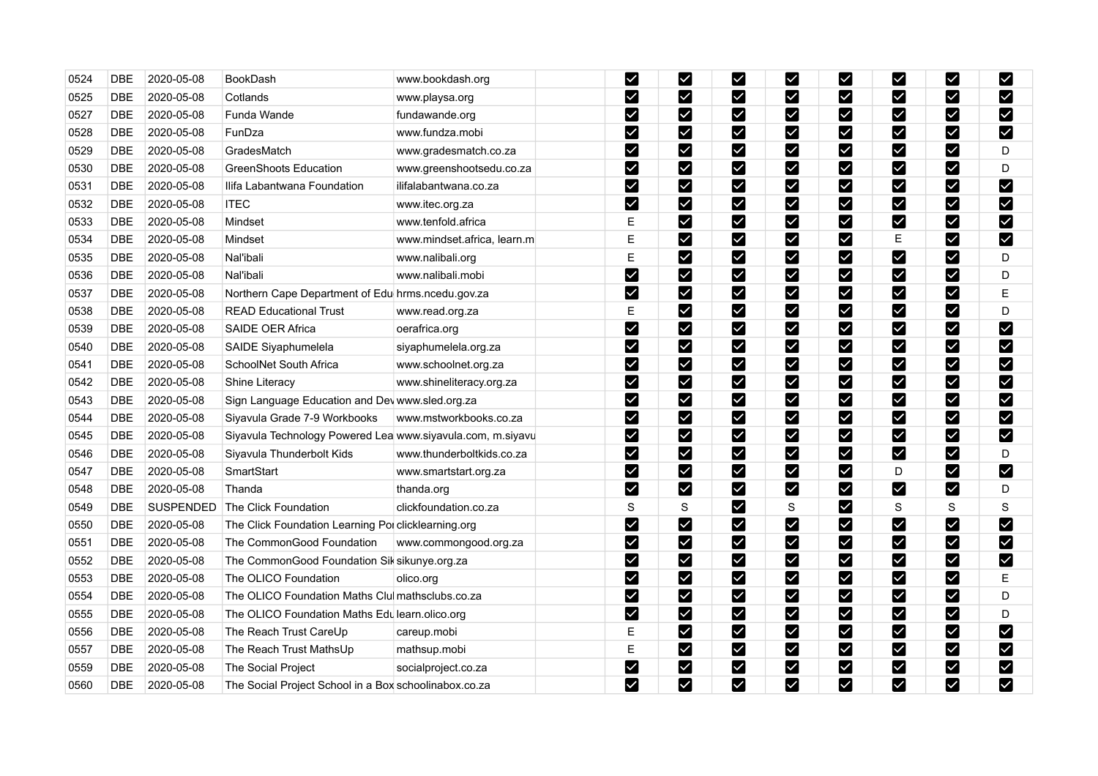| 0524 | <b>DBE</b>                | 2020-05-08 | <b>BookDash</b>                                            | www.bookdash.org            | M                       | M                         | $\blacktriangledown$  | $\vert\!\!\!\swarrow\!\!\!\!\vert$ | $\overline{\mathsf{X}}$   | $\checkmark$          | M                            | M                       |
|------|---------------------------|------------|------------------------------------------------------------|-----------------------------|-------------------------|---------------------------|-----------------------|------------------------------------|---------------------------|-----------------------|------------------------------|-------------------------|
| 0525 | <b>DBE</b>                | 2020-05-08 | Cotlands                                                   | www.playsa.org              | ☑                       | M                         | M                     | ☑                                  | $\boldsymbol{\mathsf{z}}$ | $\checkmark$          | M                            | Ø                       |
| 0527 | <b>DBE</b>                | 2020-05-08 | Funda Wande                                                | fundawande.org              | M                       | M                         | M                     | $\boldsymbol{\triangledown}$       | M                         | Ø                     | M                            | M                       |
| 0528 | <b>DBE</b>                | 2020-05-08 | FunDza                                                     | www.fundza.mobi             | $\blacktriangleright$   | M                         | $\blacktriangledown$  | ☑                                  | M                         | $\blacktriangledown$  | M                            | $\blacktriangledown$    |
| 0529 | <b>DBE</b>                | 2020-05-08 | GradesMatch                                                | www.gradesmatch.co.za       | M                       | M                         | $\blacktriangledown$  | $\boldsymbol{\triangledown}$       | $\vert\checkmark\vert$    | $\blacktriangledown$  | $\boldsymbol{\triangledown}$ | D                       |
| 0530 | <b>DBE</b>                | 2020-05-08 | <b>GreenShoots Education</b>                               | www.greenshootsedu.co.za    | M                       | M                         | $\blacktriangleright$ | ☑                                  | M                         | V                     | M                            | D                       |
| 0531 | <b>DBE</b>                | 2020-05-08 | Ilifa Labantwana Foundation                                | ilifalabantwana.co.za       | $\blacktriangleright$   | M                         | $\blacktriangleright$ | $\boldsymbol{\triangledown}$       | M                         | $\blacktriangleright$ | $\boldsymbol{\triangledown}$ | M                       |
| 0532 | <b>DBE</b>                | 2020-05-08 | <b>ITEC</b>                                                | www.itec.org.za             | $\overline{\mathbf{z}}$ | M                         | $\blacktriangledown$  | ☑                                  | M                         | $\blacktriangledown$  | M                            | $\overline{\mathbf{v}}$ |
| 0533 | <b>DBE</b>                | 2020-05-08 | Mindset                                                    | www.tenfold.africa          | E                       | M                         | $\blacktriangleright$ | $\boldsymbol{\triangledown}$       | M                         | M                     | $\boldsymbol{\triangledown}$ | M                       |
| 0534 | <b>DBE</b>                | 2020-05-08 | Mindset                                                    | www.mindset.africa, learn.m | E                       | M                         | M                     | $\blacktriangleright$              | M                         | Ε                     | M                            | $\blacktriangledown$    |
| 0535 | <b>DBE</b>                | 2020-05-08 | Nal'ibali                                                  | www.nalibali.org            | Ε                       | M                         | $\blacktriangledown$  | ☑                                  | M                         | M                     | M                            | D                       |
| 0536 | <b>DBE</b>                | 2020-05-08 | Nal'ibali                                                  | www.nalibali.mobi           | M                       | $\boldsymbol{\mathsf{z}}$ | $\blacktriangledown$  | Y                                  | $\blacktriangledown$      | $\blacktriangleright$ | M                            | D                       |
| 0537 | $\overline{\text{DBE}}$   | 2020-05-08 | Northern Cape Department of Edu hrms.ncedu.gov.za          |                             | $\blacktriangledown$    | M                         | $\blacktriangledown$  | M                                  | $\blacktriangledown$      | $\blacktriangledown$  | M                            | Е                       |
| 0538 | <b>DBE</b>                | 2020-05-08 | <b>READ Educational Trust</b>                              | www.read.org.za             | Ε                       | M                         | $\blacktriangleright$ | $\boldsymbol{\triangledown}$       | M                         | $\blacktriangleright$ | M                            | D                       |
| 0539 | <b>DBE</b>                | 2020-05-08 | SAIDE OER Africa                                           | oerafrica.org               | $\blacktriangledown$    | M                         | $\blacktriangleright$ | $\blacktriangleright$              | M                         | $\blacktriangledown$  | $\blacktriangleright$        | $\blacktriangledown$    |
| 0540 | <b>DBE</b>                | 2020-05-08 | SAIDE Siyaphumelela                                        | siyaphumelela.org.za        | $\blacktriangleright$   | M                         | $\blacktriangledown$  | $\blacktriangledown$               | $\blacktriangledown$      | $\blacktriangledown$  | M                            | $\blacktriangledown$    |
| 0541 | <b>DBE</b>                | 2020-05-08 | SchoolNet South Africa                                     | www.schoolnet.org.za        | $\blacktriangleright$   | M                         | $\blacktriangleright$ | $\blacktriangleright$              | M                         | $\checkmark$          | M                            | $\blacktriangledown$    |
| 0542 | <b>DBE</b>                | 2020-05-08 | Shine Literacy                                             | www.shineliteracy.org.za    | M                       | M                         | $\blacktriangleright$ | $\boldsymbol{\triangledown}$       | M                         | M                     | M                            | M                       |
| 0543 | $\overline{\mathsf{DBE}}$ | 2020-05-08 | Sign Language Education and Dev www.sled.org.za            |                             | M                       | M                         | $\blacktriangleright$ | $\blacktriangleright$              | M                         | $\blacktriangleright$ | M                            | $\blacktriangledown$    |
| 0544 | <b>DBE</b>                | 2020-05-08 | Siyavula Grade 7-9 Workbooks                               | www.mstworkbooks.co.za      | M                       | M                         | $\blacktriangledown$  | ⊻                                  | $\boxed{\checkmark}$      | $\blacktriangledown$  | M                            | M                       |
| 0545 | DBE                       | 2020-05-08 | Siyavula Technology Powered Lea www.siyavula.com, m.siyavu |                             | $\boldsymbol{\nabla}$   | M                         | M                     | $\boldsymbol{\triangledown}$       | ☑                         | Ø                     | M                            | $\blacktriangledown$    |
| 0546 | <b>DBE</b>                | 2020-05-08 | Siyavula Thunderbolt Kids                                  | www.thunderboltkids.co.za   | $\blacktriangledown$    | M                         | Y                     | ☑                                  | M                         | M                     | M                            | D                       |
| 0547 | DBE                       | 2020-05-08 | SmartStart                                                 | www.smartstart.org.za       | $\blacktriangledown$    | M                         | $\blacktriangleright$ | $\boldsymbol{\triangledown}$       | $\checkmark$              | D                     | M                            | $\blacktriangledown$    |
| 0548 | <b>DBE</b>                | 2020-05-08 | Thanda                                                     | thanda.org                  | M                       | M                         | M                     | ☑                                  | M                         | $\blacktriangleright$ | $\blacktriangleright$        | D                       |
| 0549 | $\overline{\mathsf{DBE}}$ | SUSPENDED  | The Click Foundation                                       | clickfoundation.co.za       | S                       | $\mathbf S$               | M                     | S                                  | M                         | ${\mathsf S}$         | S                            | S                       |
| 0550 | <b>DBE</b>                | 2020-05-08 | The Click Foundation Learning Pol clicklearning.org        |                             | $\blacktriangledown$    | M                         | $\blacktriangleright$ | $\blacktriangleright$              | $\boldsymbol{\mathsf{z}}$ | $\blacktriangleright$ | M                            | $\blacktriangledown$    |
| 0551 | <b>DBE</b>                | 2020-05-08 | The CommonGood Foundation                                  | www.commongood.org.za       | M                       | M                         | $\blacktriangleright$ | V                                  | M                         | M                     | $\blacktriangleright$        | M                       |
| 0552 | <b>DBE</b>                | 2020-05-08 | The CommonGood Foundation Sik sikunye.org.za               |                             | $\blacktriangleright$   | M                         | M                     | $\blacktriangledown$               | $\blacktriangledown$      | $\blacktriangledown$  | $\overline{\mathbf{v}}$      | $\blacktriangledown$    |
| 0553 | <b>DBE</b>                | 2020-05-08 | The OLICO Foundation                                       | olico.org                   | M                       | M                         | $\blacktriangleright$ | $\boldsymbol{\triangledown}$       | M                         | $\blacktriangleright$ | M                            | Е                       |
| 0554 | <b>DBE</b>                | 2020-05-08 | The OLICO Foundation Maths Clu mathsclubs.co.za            |                             | $\blacktriangleright$   | M                         | M                     | ☑                                  | $\blacktriangleright$     | $\blacktriangledown$  | M                            | D                       |
| 0555 | <b>DBE</b>                | 2020-05-08 | The OLICO Foundation Maths Edu learn.olico.org             |                             | V                       | M                         | $\checkmark$          | ☑                                  | $\blacktriangledown$      | $\blacktriangledown$  | M                            | D                       |
| 0556 | <b>DBE</b>                | 2020-05-08 | The Reach Trust CareUp                                     | careup.mobi                 | Е                       | M                         | $\blacktriangleright$ | $\boldsymbol{\triangledown}$       | $\blacktriangleright$     | $\checkmark$          | M                            | $\blacktriangledown$    |
| 0557 | <b>DBE</b>                | 2020-05-08 | The Reach Trust MathsUp                                    | mathsup.mobi                | E                       | M                         | $\blacktriangleright$ | ☑                                  | M                         | M                     | M                            | $\blacktriangledown$    |
| 0559 | DBE                       | 2020-05-08 | The Social Project                                         | socialproject.co.za         | $\blacktriangleright$   | M                         | $\blacktriangleright$ | $\boldsymbol{\triangledown}$       | M                         | $\blacktriangleright$ | $\boldsymbol{\triangledown}$ | $\blacktriangledown$    |
| 0560 | <b>DBE</b>                | 2020-05-08 | The Social Project School in a Box schoolinabox.co.za      |                             | ☑                       | M                         | V                     | ☑                                  | M                         | M                     | M                            | M                       |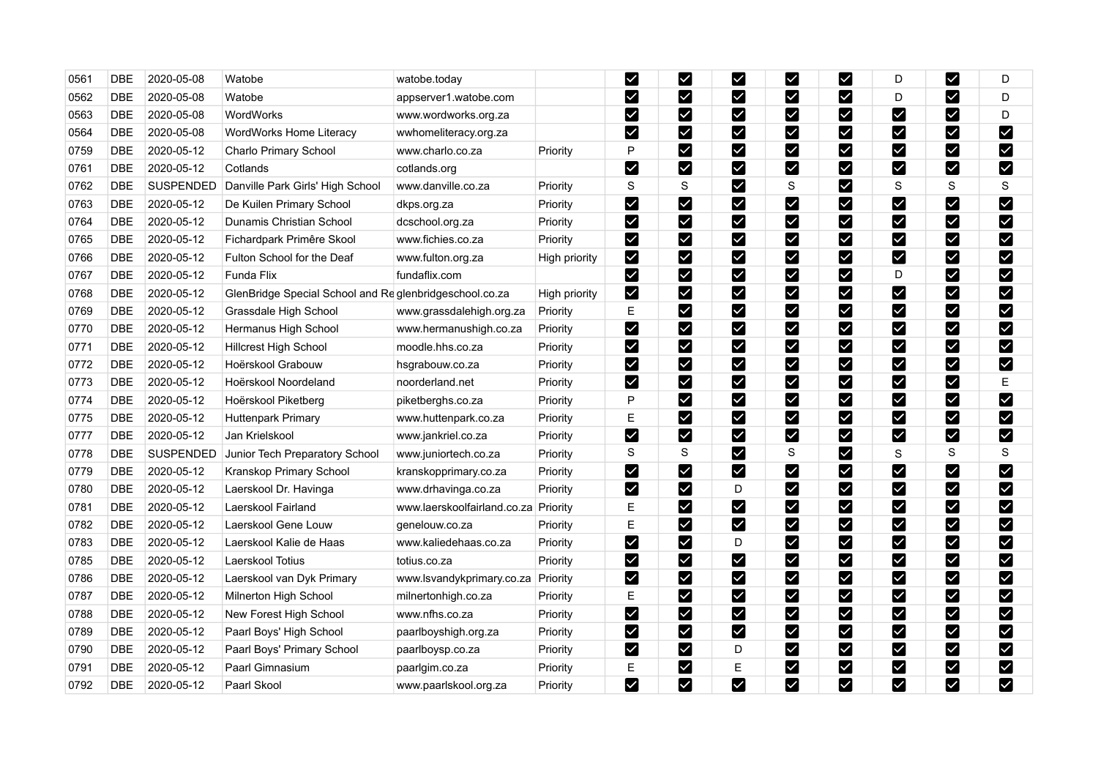| 0561 | <b>DBE</b> | 2020-05-08       | Watobe                                                 | watobe.today                |               | M                     | ☑                         | M                     | ⊻                            | $\checkmark$                 | D                       | M                     | D                    |
|------|------------|------------------|--------------------------------------------------------|-----------------------------|---------------|-----------------------|---------------------------|-----------------------|------------------------------|------------------------------|-------------------------|-----------------------|----------------------|
| 0562 | <b>DBE</b> | 2020-05-08       | Watobe                                                 | appserver1.watobe.com       |               | $\blacktriangledown$  | M                         | $\blacktriangledown$  | M                            | ☑                            | D                       | M                     | D                    |
| 0563 | <b>DBE</b> | 2020-05-08       | WordWorks                                              | www.wordworks.org.za        |               | M                     | M                         | Ø                     | Ø                            | $\blacktriangledown$         | V                       | M                     | D                    |
| 0564 | <b>DBE</b> | 2020-05-08       | WordWorks Home Literacy                                | wwhomeliteracy.org.za       |               | $\blacktriangleright$ | M                         | M                     | M                            | M                            | Y                       | M                     | $\blacktriangledown$ |
| 0759 | <b>DBE</b> | 2020-05-12       | Charlo Primary School                                  | www.charlo.co.za            | Priority      | P                     | M                         | M                     | $\sqrt{}$                    | $\blacktriangledown$         | $\blacktriangledown$    | $\blacktriangleright$ | $\blacktriangledown$ |
| 0761 | <b>DBE</b> | 2020-05-12       | Cotlands                                               | cotlands.org                |               | $\blacktriangleright$ | M                         | M                     | M                            | $\boldsymbol{\triangledown}$ | M                       | M                     | $\blacktriangledown$ |
| 0762 | <b>DBE</b> | <b>SUSPENDED</b> | Danville Park Girls' High School                       | www.danville.co.za          | Priority      | $\mathbf S$           | $\rm S$                   | M                     | S                            | Y                            | S                       | S                     | S                    |
| 0763 | DBE        | 2020-05-12       | De Kuilen Primary School                               | dkps.org.za                 | Priority      | $\blacktriangleright$ | M                         | $\blacktriangleright$ | M                            | $\blacktriangledown$         | $\blacktriangledown$    | $\blacktriangleright$ | $\blacktriangledown$ |
| 0764 | <b>DBE</b> | 2020-05-12       | Dunamis Christian School                               | dcschool.org.za             | Priority      | $\blacktriangledown$  | M                         | V                     | ⊻                            | Ø                            | $\checkmark$            | M                     | M                    |
| 0765 | <b>DBE</b> | 2020-05-12       | Fichardpark Primêre Skool                              | www.fichies.co.za           | Priority      | M                     | M                         | V                     | M                            | $\blacktriangledown$         | M                       | M                     | M                    |
| 0766 | <b>DBE</b> | 2020-05-12       | Fulton School for the Deaf                             | www.fulton.org.za           | High priority | M                     | M                         | M                     | M                            | $\blacktriangleright$        | M                       | M                     | M                    |
| 0767 | <b>DBE</b> | 2020-05-12       | Funda Flix                                             | fundaflix.com               |               | $\blacktriangleright$ | M                         | M                     | $\boldsymbol{\triangledown}$ | $\blacktriangleright$        | D                       | M                     | M                    |
| 0768 | <b>DBE</b> | 2020-05-12       | GlenBridge Special School and Reglenbridgeschool.co.za |                             | High priority | $\blacktriangleright$ | M                         | M                     | ☑                            | M                            | V                       | M                     | $\blacktriangledown$ |
| 0769 | <b>DBE</b> | 2020-05-12       | Grassdale High School                                  | www.grassdalehigh.org.za    | Priority      | E                     | M                         | $\blacktriangledown$  | $\boldsymbol{\triangledown}$ | $\blacktriangleright$        | M                       | M                     | $\blacktriangledown$ |
| 0770 | <b>DBE</b> | 2020-05-12       | Hermanus High School                                   | www.hermanushigh.co.za      | Priority      | $\blacktriangledown$  | M                         | $\blacktriangleright$ | M                            | $\blacktriangledown$         | $\blacktriangledown$    | $\blacktriangleright$ | $\blacktriangledown$ |
| 0771 | <b>DBE</b> | 2020-05-12       | Hillcrest High School                                  | moodle.hhs.co.za            | Priority      | $\blacktriangleright$ | M                         | $\blacktriangleright$ | $\boldsymbol{\triangledown}$ | Y                            | $\blacktriangledown$    | M                     | M                    |
| 0772 | <b>DBE</b> | 2020-05-12       | Hoërskool Grabouw                                      | hsgrabouw.co.za             | Priority      | $\blacktriangledown$  | $\boldsymbol{\mathsf{z}}$ | $\blacktriangledown$  | $\blacktriangleright$        | M                            | $\checkmark$            | M                     | $\blacktriangledown$ |
| 0773 | <b>DBE</b> | 2020-05-12       | Hoërskool Noordeland                                   | noorderland.net             | Priority      | $\blacktriangleright$ | M                         | $\blacktriangledown$  | $\boldsymbol{\triangledown}$ | Ø                            | M                       | M                     | Ε                    |
| 0774 | <b>DBE</b> | 2020-05-12       | Hoërskool Piketberg                                    | piketberghs.co.za           | Priority      | P                     | M                         | M                     | M                            | M                            | M                       | M                     | $\blacktriangledown$ |
| 0775 | <b>DBE</b> | 2020-05-12       | <b>Huttenpark Primary</b>                              | www.huttenpark.co.za        | Priority      | E                     | M                         | M                     | ⊻                            | $\blacktriangledown$         | Y                       | $\blacktriangleright$ | $\blacktriangledown$ |
| 0777 | DBE        | 2020-05-12       | Jan Krielskool                                         | www.jankriel.co.za          | Priority      | $\blacktriangleright$ | M                         | M                     | $\boldsymbol{\triangledown}$ | M                            | M                       | $\blacktriangleright$ | $\blacktriangledown$ |
| 0778 | DBE        | <b>SUSPENDED</b> | Junior Tech Preparatory School                         | www.juniortech.co.za        | Priority      | S                     | S                         | M                     | S                            | ☑                            | S                       | S                     | S                    |
| 0779 | <b>DBE</b> | 2020-05-12       | Kranskop Primary School                                | kranskopprimary.co.za       | Priority      | $\blacktriangleright$ | M                         | $\blacktriangledown$  | $\boldsymbol{\triangledown}$ | Y                            | $\blacktriangledown$    | M                     | M                    |
| 0780 | <b>DBE</b> | 2020-05-12       | Laerskool Dr. Havinga                                  | www.drhavinga.co.za         | Priority      | $\blacktriangledown$  | M                         | D                     | ⊻                            | V                            | $\checkmark$            | $\blacktriangledown$  | $\blacktriangledown$ |
| 0781 | <b>DBE</b> | 2020-05-12       | Laerskool Fairland                                     | www.laerskoolfairland.co.za | Priority      | E                     | M                         | $\blacktriangleright$ | $\boldsymbol{\triangledown}$ | $\vert\mathbf{v}\vert$       | V                       | M                     | $\blacktriangledown$ |
| 0782 | <b>DBE</b> | 2020-05-12       | Laerskool Gene Louw                                    | genelouw.co.za              | Priority      | Е                     | M                         | M                     | $\boldsymbol{\triangledown}$ | M                            | M                       | M                     | M                    |
| 0783 | <b>DBE</b> | 2020-05-12       | Laerskool Kalie de Haas                                | www.kaliedehaas.co.za       | Priority      | $\blacktriangledown$  | M                         | D                     | $\boldsymbol{\triangledown}$ | M                            | M                       | $\blacktriangleright$ | $\blacktriangledown$ |
| 0785 | <b>DBE</b> | 2020-05-12       | Laerskool Totius                                       | totius.co.za                | Priority      | $\blacktriangledown$  | M                         | $\blacktriangleright$ | M                            | $\blacktriangleright$        | $\overline{\mathbf{Y}}$ | M                     | $\blacktriangledown$ |
| 0786 | <b>DBE</b> | 2020-05-12       | Laerskool van Dyk Primary                              | www.lsvandykprimary.co.za   | Priority      | M                     | M                         | M                     | Ø                            | M                            | M                       | M                     | $\blacktriangledown$ |
| 0787 | <b>DBE</b> | 2020-05-12       | Milnerton High School                                  | milnertonhigh.co.za         | Priority      | E                     | $\blacktriangleright$     | M                     | M                            | V                            | $\blacktriangledown$    | M                     | $\blacktriangledown$ |
| 0788 | <b>DBE</b> | 2020-05-12       | New Forest High School                                 | www.nfhs.co.za              | Priority      | M                     | $\blacktriangleright$     | $\blacktriangledown$  | ⊻                            | $\vee$                       | $\blacktriangledown$    | M                     | $\blacktriangledown$ |
| 0789 | <b>DBE</b> | 2020-05-12       | Paarl Boys' High School                                | paarlboyshigh.org.za        | Priority      | M                     | M                         | $\blacktriangledown$  | M                            | M                            | <u>Μ</u>                | M                     | M                    |
| 0790 | <b>DBE</b> | 2020-05-12       | Paarl Boys' Primary School                             | paarlboysp.co.za            | Priority      | $\blacktriangledown$  | M                         | D                     | ☑                            | M                            | M                       | M                     | $\blacktriangledown$ |
| 0791 | <b>DBE</b> | 2020-05-12       | Paarl Gimnasium                                        | paarlgim.co.za              | Priority      | E                     | M                         | E                     | $\boldsymbol{\triangledown}$ | $\blacktriangledown$         | M                       | M                     | $\blacktriangledown$ |
| 0792 | <b>DBE</b> | 2020-05-12       | Paarl Skool                                            | www.paarlskool.org.za       | Priority      | M                     | M                         | $\blacktriangledown$  | M                            | $\blacktriangledown$         | M                       | M                     | M                    |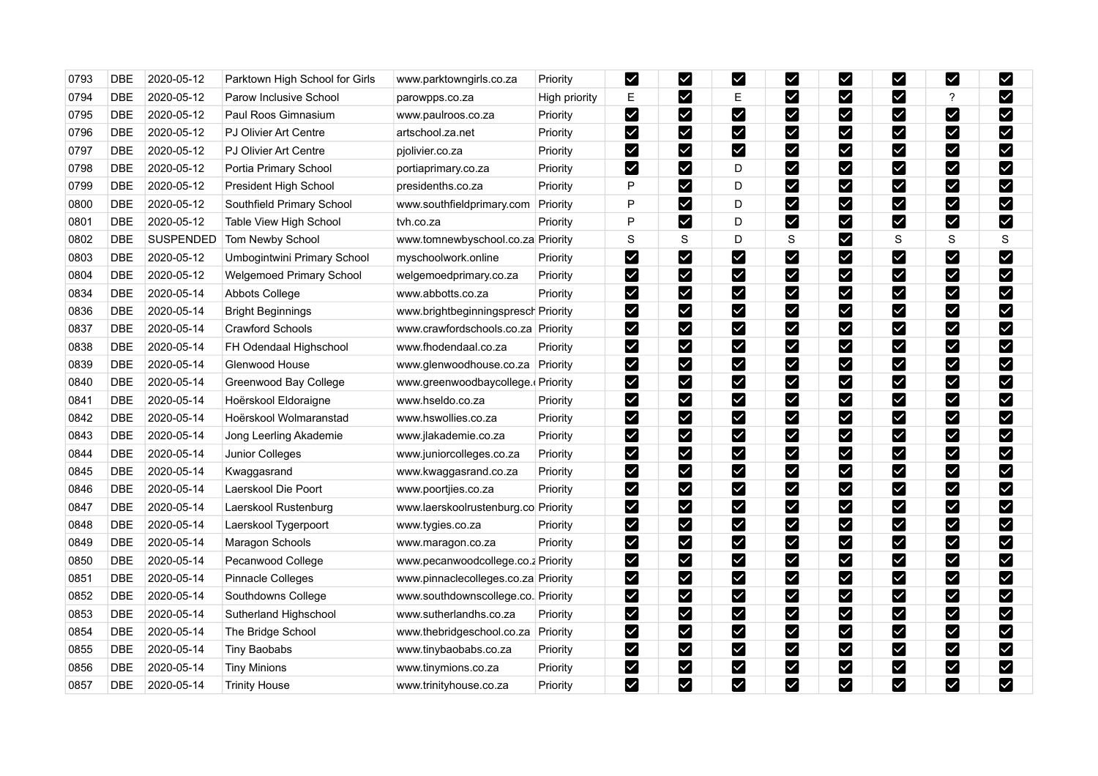| 0793 | <b>DBE</b> | 2020-05-12 | Parktown High School for Girls  | www.parktowngirls.co.za             | Priority      | $\blacktriangleright$ | $\boldsymbol{\mathsf{z}}$ | Y                     | ⊻                            | $\overline{\mathsf{X}}$   | $\checkmark$            | M                            | $\blacktriangledown$    |
|------|------------|------------|---------------------------------|-------------------------------------|---------------|-----------------------|---------------------------|-----------------------|------------------------------|---------------------------|-------------------------|------------------------------|-------------------------|
| 0794 | <b>DBE</b> | 2020-05-12 | Parow Inclusive School          | parowpps.co.za                      | High priority | Е                     | M                         | Е                     | ☑                            | $\blacktriangledown$      | $\checkmark$            | ?                            | Ø                       |
| 0795 | <b>DBE</b> | 2020-05-12 | Paul Roos Gimnasium             | www.paulroos.co.za                  | Priority      | M                     | M                         | M                     | Ø                            | $\blacktriangledown$      | M                       | Ø                            | M                       |
| 0796 | <b>DBE</b> | 2020-05-12 | PJ Olivier Art Centre           | artschool.za.net                    | Priority      | $\blacktriangledown$  | M                         | M                     | M                            | M                         | M                       | M                            | $\blacktriangledown$    |
| 0797 | <b>DBE</b> | 2020-05-12 | <b>PJ Olivier Art Centre</b>    | pjolivier.co.za                     | Priority      | $\blacktriangleright$ | M                         | M                     | $\boldsymbol{\triangledown}$ | $\boldsymbol{\mathsf{v}}$ | V                       | $\boldsymbol{\triangledown}$ | $\blacktriangledown$    |
| 0798 | <b>DBE</b> | 2020-05-12 | Portia Primary School           | portiaprimary.co.za                 | Priority      | M                     | M                         | D                     | ☑                            | $\boldsymbol{\mathsf{z}}$ | V                       | M                            | $\blacktriangledown$    |
| 0799 | DBE        | 2020-05-12 | President High School           | presidenths.co.za                   | Priority      | P                     | M                         | D                     | $\boldsymbol{\triangledown}$ | Y                         | $\blacktriangleright$   | $\blacktriangleright$        | M                       |
| 0800 | <b>DBE</b> | 2020-05-12 | Southfield Primary School       | www.southfieldprimary.com           | Priority      | P                     | M                         | D                     | M                            | ☑                         | $\blacktriangledown$    | M                            | $\overline{\mathbf{v}}$ |
| 0801 | <b>DBE</b> | 2020-05-12 | Table View High School          | tyh.co.za                           | Priority      | P                     | M                         | D                     | $\boldsymbol{\triangledown}$ | Ø                         | M                       | M                            | $\blacktriangledown$    |
| 0802 | <b>DBE</b> | SUSPENDED  | Tom Newby School                | www.tomnewbyschool.co.za Priority   |               | $\mathbf S$           | $\rm S$                   | D                     | S                            | ⊻                         | $\mathbf S$             | S                            | $\mathbf S$             |
| 0803 | <b>DBE</b> | 2020-05-12 | Umbogintwini Primary School     | myschoolwork.online                 | Priority      | $\blacktriangledown$  | M                         | V                     | M                            | M                         | Y                       | M                            | M                       |
| 0804 | <b>DBE</b> | 2020-05-12 | <b>Welgemoed Primary School</b> | welgemoedprimary.co.za              | Priority      | $\blacktriangleright$ | $\boldsymbol{\mathsf{z}}$ | $\blacktriangledown$  | $\blacktriangledown$         | $\checkmark$              | $\overline{\textbf{Y}}$ | M                            | $\blacktriangledown$    |
| 0834 | DBE        | 2020-05-14 | Abbots College                  | www.abbotts.co.za                   | Priority      | $\blacktriangledown$  | M                         | M                     | M                            | M                         | $\boldsymbol{\vee}$     | M                            | $\blacktriangledown$    |
| 0836 | DBE        | 2020-05-14 | <b>Bright Beginnings</b>        | www.brightbeginningspresch Priority |               | $\blacktriangleright$ | M                         | M                     | $\boldsymbol{\triangledown}$ | $\blacktriangleright$     | M                       | M                            | $\blacktriangledown$    |
| 0837 | <b>DBE</b> | 2020-05-14 | Crawford Schools                | www.crawfordschools.co.za Priority  |               | $\blacktriangledown$  | M                         | M                     | M                            | $\blacktriangledown$      | $\blacktriangledown$    | $\blacktriangleright$        | $\blacktriangledown$    |
| 0838 | <b>DBE</b> | 2020-05-14 | FH Odendaal Highschool          | www.fhodendaal.co.za                | Priority      | $\blacktriangleright$ | M                         | $\blacktriangledown$  | $\boldsymbol{\triangledown}$ | Y                         | $\blacktriangledown$    | M                            | $\blacktriangledown$    |
| 0839 | <b>DBE</b> | 2020-05-14 | Glenwood House                  | www.glenwoodhouse.co.za             | Priority      | M                     | M                         | $\blacktriangleright$ | $\boldsymbol{\triangledown}$ | $\blacktriangledown$      | $\checkmark$            | M                            | $\blacktriangleright$   |
| 0840 | <b>DBE</b> | 2020-05-14 | Greenwood Bay College           | www.greenwoodbaycollege.(Priority   |               | $\blacktriangleright$ | <b>M</b>                  | M                     | Ø                            | M                         | M                       | M                            | M                       |
| 0841 | <b>DBE</b> | 2020-05-14 | Hoërskool Eldoraigne            | www.hseldo.co.za                    | Priority      | $\blacktriangleright$ | M                         | M                     | M                            | $\blacktriangleright$     | M                       | M                            | $\blacktriangleright$   |
| 0842 | <b>DBE</b> | 2020-05-14 | Hoërskool Wolmaranstad          | www.hswollies.co.za                 | Priority      | M                     | M                         | M                     | M                            |                           | $\vert\mathbf{v}\vert$  | M                            | M                       |
| 0843 | DBE        | 2020-05-14 | Jong Leerling Akademie          | www.jlakademie.co.za                | Priority      | $\blacktriangleright$ | M                         | M                     | Ø                            | M                         | V                       | M                            | $\blacktriangledown$    |
| 0844 | DBE        | 2020-05-14 | Junior Colleges                 | www.juniorcolleges.co.za            | Priority      | $\blacktriangledown$  | M                         | M                     | M                            | V                         | $\blacktriangledown$    | M                            | $\blacktriangledown$    |
| 0845 | <b>DBE</b> | 2020-05-14 | Kwaggasrand                     | www.kwaggasrand.co.za               | Priority      | K                     | M                         | $\blacktriangleright$ | $\boldsymbol{\triangledown}$ | ⊻                         | $\blacktriangledown$    | M                            | M                       |
| 0846 | <b>DBE</b> | 2020-05-14 | Laerskool Die Poort             | www.poortjies.co.za                 | Priority      | $\blacktriangleright$ | M                         | $\blacktriangledown$  | ☑                            | ☑                         | $\checkmark$            | M                            | $\blacktriangledown$    |
| 0847 | DBE        | 2020-05-14 | Laerskool Rustenburg            | www.laerskoolrustenburg.co Priority |               | M                     | M                         | $\blacktriangleright$ | $\boldsymbol{\mathsf{z}}$    | V                         | M                       | M                            | $\blacktriangledown$    |
| 0848 | <b>DBE</b> | 2020-05-14 | Laerskool Tygerpoort            | www.tygies.co.za                    | Priority      | $\blacktriangledown$  | M                         | $\blacktriangleright$ | M                            | $\blacktriangledown$      | M                       | $\blacktriangleright$        | $\blacktriangledown$    |
| 0849 | <b>DBE</b> | 2020-05-14 | Maragon Schools                 | www.maragon.co.za                   | Priority      | $\blacktriangleright$ | M                         | M                     | $\boldsymbol{\triangledown}$ | M                         | M                       | $\blacktriangleright$        | M                       |
| 0850 | <b>DBE</b> | 2020-05-14 | Pecanwood College               | www.pecanwoodcollege.co.z Priority  |               | $\blacktriangledown$  | $\boldsymbol{\mathsf{z}}$ | $\blacktriangleright$ | $\boldsymbol{\triangledown}$ | M                         | $\overline{\mathbf{Y}}$ | M                            | $\blacktriangledown$    |
| 0851 | <b>DBE</b> | 2020-05-14 | <b>Pinnacle Colleges</b>        | www.pinnaclecolleges.co.za Priority |               | $\blacktriangledown$  | M                         | M                     | M                            | M                         | $\vert\mathbf{v}\vert$  | M                            | M                       |
| 0852 | <b>DBE</b> | 2020-05-14 | Southdowns College              | www.southdownscollege.co. Priority  |               | $\blacktriangleright$ | M                         | M                     | $\blacktriangledown$         | Y                         | M                       | M                            | M                       |
| 0853 | <b>DBE</b> | 2020-05-14 | Sutherland Highschool           | www.sutherlandhs.co.za              | Priority      | M                     | $\blacktriangleright$     | $\blacktriangledown$  | ⊻                            | $\vee$                    | $\blacktriangledown$    | M                            | $\blacktriangledown$    |
| 0854 | DBE        | 2020-05-14 | The Bridge School               | www.thebridgeschool.co.za           | Priority      | M                     | M                         | $\blacktriangledown$  | M                            | ⊻                         | Y                       | M                            | $\blacktriangledown$    |
| 0855 | <b>DBE</b> | 2020-05-14 | Tiny Baobabs                    | www.tinybaobabs.co.za               | Priority      | M                     | M                         | M                     | ☑                            | M                         | M                       | M                            | $\blacktriangledown$    |
| 0856 | DBE        | 2020-05-14 | <b>Tiny Minions</b>             | www.tinymions.co.za                 | Priority      | $\blacktriangleright$ | M                         | $\blacktriangledown$  | $\boldsymbol{\triangledown}$ | $\blacktriangledown$      | M                       | M                            | $\blacktriangledown$    |
| 0857 | <b>DBE</b> | 2020-05-14 | <b>Trinity House</b>            | www.trinityhouse.co.za              | Priority      | M                     | M                         | $\blacktriangledown$  | M                            | $\blacktriangledown$      | M                       | M                            | M                       |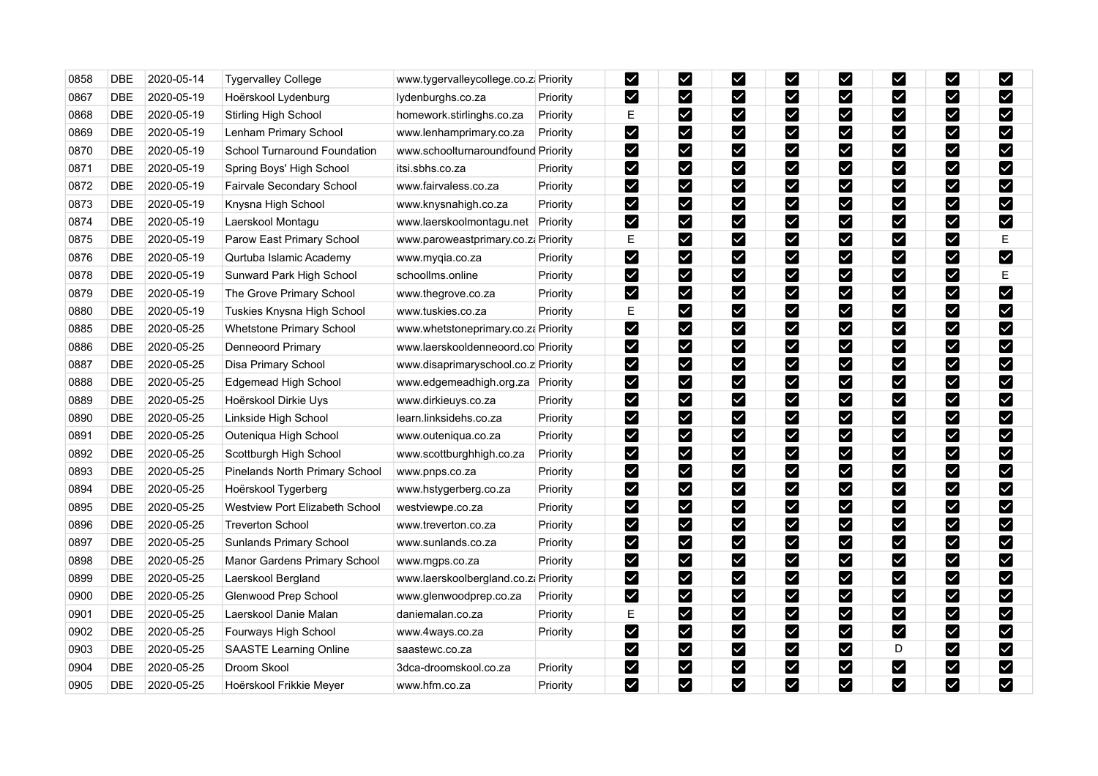| 0858 | <b>DBE</b> | 2020-05-14 | <b>Tygervalley College</b>     | www.tygervalleycollege.co.z. Priority |          | M                       | M                         | Y                     | M                            | M                         | $\checkmark$            | M                            | M                       |
|------|------------|------------|--------------------------------|---------------------------------------|----------|-------------------------|---------------------------|-----------------------|------------------------------|---------------------------|-------------------------|------------------------------|-------------------------|
| 0867 | <b>DBE</b> | 2020-05-19 | Hoërskool Lydenburg            | lydenburghs.co.za                     | Priority | M                       | M                         | M                     | ☑                            | ⊻                         | M                       | M                            | Ø                       |
| 0868 | <b>DBE</b> | 2020-05-19 | <b>Stirling High School</b>    | homework.stirlinghs.co.za             | Priority | E                       | M                         | M                     | Ø                            | M                         | M                       | M                            | $\blacktriangledown$    |
| 0869 | <b>DBE</b> | 2020-05-19 | Lenham Primary School          | www.lenhamprimary.co.za               | Priority | $\blacktriangledown$    | M                         | M                     | ⊻                            | M                         | M                       | M                            | $\blacktriangledown$    |
| 0870 | <b>DBE</b> | 2020-05-19 | School Turnaround Foundation   | www.schoolturnaroundfound Priority    |          | $\blacktriangleright$   | M                         | M                     | $\boldsymbol{\triangledown}$ | $\boldsymbol{\mathsf{v}}$ | V                       | $\boldsymbol{\triangledown}$ | $\blacktriangledown$    |
| 0871 | DBE        | 2020-05-19 | Spring Boys' High School       | itsi.sbhs.co.za                       | Priority | $\blacktriangledown$    | M                         | M                     | $\boldsymbol{\triangledown}$ | M                         | $\overline{\mathbf{v}}$ | M                            | $\blacktriangledown$    |
| 0872 | <b>DBE</b> | 2020-05-19 | Fairvale Secondary School      | www.fairvaless.co.za                  | Priority | $\blacktriangledown$    | M                         | M                     | $\boxed{\checkmark}$         | $\blacktriangledown$      | $\blacktriangledown$    | $\boldsymbol{\triangledown}$ | M                       |
| 0873 | <b>DBE</b> | 2020-05-19 | Knysna High School             | www.knysnahigh.co.za                  | Priority | $\blacktriangledown$    | $\blacktriangleright$     | $\blacktriangledown$  | ⊻                            | $\vee$                    | $\blacktriangledown$    | M                            | $\blacktriangleright$   |
| 0874 | DBE        | 2020-05-19 | Laerskool Montagu              | www.laerskoolmontagu.net              | Priority | M                       | M                         | Y                     | M                            | V                         | Y                       | M                            | $\blacktriangledown$    |
| 0875 | <b>DBE</b> | 2020-05-19 | Parow East Primary School      | www.paroweastprimary.co.za Priority   |          | Е                       | M                         | M                     | M                            | $\blacktriangleright$     | M                       | M                            | E                       |
| 0876 | <b>DBE</b> | 2020-05-19 | Qurtuba Islamic Academy        | www.myqia.co.za                       | Priority | $\blacktriangledown$    | M                         | $\blacktriangledown$  | M                            | $\blacktriangleright$     | M                       | M                            | $\blacktriangledown$    |
| 0878 | <b>DBE</b> | 2020-05-19 | Sunward Park High School       | schoollms.online                      | Priority | $\blacktriangleright$   | $\boldsymbol{\mathsf{z}}$ | $\blacktriangledown$  | $\boldsymbol{\triangledown}$ | $\blacktriangleright$     | M                       | M                            | Е                       |
| 0879 | <b>DBE</b> | 2020-05-19 | The Grove Primary School       | www.thegrove.co.za                    | Priority | $\overline{\mathbf{v}}$ | M                         | $\blacktriangledown$  | ☑                            | M                         | M                       | $\blacktriangleright$        | $\blacktriangledown$    |
| 0880 | <b>DBE</b> | 2020-05-19 | Tuskies Knysna High School     | www.tuskies.co.za                     | Priority | E                       | M                         | M                     | $\boldsymbol{\triangledown}$ | $\blacktriangleright$     | M                       | M                            | $\blacktriangledown$    |
| 0885 | <b>DBE</b> | 2020-05-25 | Whetstone Primary School       | www.whetstoneprimary.co.za Priority   |          | $\blacktriangleright$   | M                         | $\blacktriangleright$ | M                            | $\blacktriangleright$     | $\blacktriangledown$    | $\blacktriangleright$        | $\overline{\mathsf{v}}$ |
| 0886 | <b>DBE</b> | 2020-05-25 | Denneoord Primary              | www.laerskooldenneoord.co Priority    |          | $\blacktriangledown$    | M                         | $\blacktriangleright$ | Ø                            | M                         | V                       | $\blacktriangleright$        | M                       |
| 0887 | <b>DBE</b> | 2020-05-25 | Disa Primary School            | www.disaprimaryschool.co.z Priority   |          | M                       | M                         | M                     | ☑                            | M                         | $\checkmark$            | M                            | $\blacktriangleright$   |
| 0888 | DBE        | 2020-05-25 | Edgemead High School           | www.edgemeadhigh.org.za               | Priority | $\blacktriangleright$   | M                         | M                     | $\boldsymbol{\triangledown}$ | $\blacktriangledown$      | M                       | $\blacktriangleright$        | M                       |
| 0889 | <b>DBE</b> | 2020-05-25 | Hoërskool Dirkie Uys           | www.dirkieuys.co.za                   | Priority | $\blacktriangleright$   | M                         | M                     | M                            | M                         | $\overline{\mathbf{Y}}$ | M                            | $\blacktriangledown$    |
| 0890 | DBE        | 2020-05-25 | Linkside High School           | learn.linksidehs.co.za                | Priority | M                       | M                         | M                     | M                            | $\blacktriangledown$      | M                       | M                            | $\blacktriangleright$   |
| 0891 | DBE        | 2020-05-25 | Outeniqua High School          | www.outeniqua.co.za                   | Priority | $\blacktriangleright$   | M                         | M                     | M                            | M                         | V                       | M                            | $\blacktriangledown$    |
| 0892 | <b>DBE</b> | 2020-05-25 | Scottburgh High School         | www.scottburghhigh.co.za              | Priority | $\blacktriangledown$    | M                         | M                     | M                            | V                         | M                       | M                            | M                       |
| 0893 | DBE        | 2020-05-25 | Pinelands North Primary School | www.pnps.co.za                        | Priority | $\blacktriangledown$    | M                         | $\blacktriangleright$ | $\boldsymbol{\triangledown}$ | V                         | $\blacktriangledown$    | M                            | $\blacktriangleright$   |
| 0894 | DBE        | 2020-05-25 | Hoërskool Tygerberg            | www.hstygerberg.co.za                 | Priority | $\blacktriangleright$   | M                         | $\blacktriangledown$  | M                            | M                         | $\checkmark$            | $\blacktriangleright$        | $\blacktriangledown$    |
| 0895 | <b>DBE</b> | 2020-05-25 | Westview Port Elizabeth School | westviewpe.co.za                      | Priority | M                       | M                         | Ø                     | Ø                            | M                         | V                       | M                            | M                       |
| 0896 | DBE        | 2020-05-25 | <b>Treverton School</b>        | www.treverton.co.za                   | Priority | $\blacktriangleright$   | M                         | $\blacktriangleright$ | M                            | $\blacktriangledown$      | Y                       | M                            | $\blacktriangledown$    |
| 0897 | <b>DBE</b> | 2020-05-25 | Sunlands Primary School        | www.sunlands.co.za                    | Priority | $\blacktriangleright$   | M                         | M                     | K                            | M                         | Y                       | M                            | M                       |
| 0898 | <b>DBE</b> | 2020-05-25 | Manor Gardens Primary School   | www.mgps.co.za                        | Priority | $\blacktriangledown$    | $\boldsymbol{\mathsf{z}}$ | $\blacktriangledown$  | $\blacktriangleright$        | M                         | $\overline{\mathbf{Y}}$ | M                            | M                       |
| 0899 | DBE        | 2020-05-25 | Laerskool Bergland             | www.laerskoolbergland.co.zi Priority  |          | $\blacktriangledown$    | M                         | M                     | M                            | M                         | M                       | M                            | $\blacktriangledown$    |
| 0900 | <b>DBE</b> | 2020-05-25 | Glenwood Prep School           | www.glenwoodprep.co.za                | Priority | $\blacktriangleright$   | M                         | M                     | M                            | Y                         | M                       | M                            | M                       |
| 0901 | <b>DBE</b> | 2020-05-25 | Laerskool Danie Malan          | daniemalan.co.za                      | Priority | E                       | $\blacktriangleright$     | $\blacktriangledown$  | $\blacktriangleright$        | $\vee$                    | Y                       | M                            | $\blacktriangledown$    |
| 0902 | DBE        | 2020-05-25 | Fourways High School           | www.4ways.co.za                       | Priority | $\blacktriangleright$   | M                         | $\blacktriangledown$  | M                            | ⊻                         | M                       | M                            | $\blacktriangledown$    |
| 0903 | DBE        | 2020-05-25 | <b>SAASTE Learning Online</b>  | saastewc.co.za                        |          | $\blacktriangledown$    | M                         | M                     | ☑                            | M                         | D                       | M                            | $\blacktriangleright$   |
| 0904 | DBE        | 2020-05-25 | Droom Skool                    | 3dca-droomskool.co.za                 | Priority | $\blacktriangleright$   | M                         | $\blacktriangledown$  | $\boldsymbol{\triangledown}$ | $\blacktriangledown$      | M                       | M                            | $\blacktriangledown$    |
| 0905 | <b>DBE</b> | 2020-05-25 | Hoërskool Frikkie Meyer        | www.hfm.co.za                         | Priority | M                       | M                         | $\blacktriangledown$  | M                            | $\blacktriangledown$      | M                       | M                            | $\overline{\mathsf{v}}$ |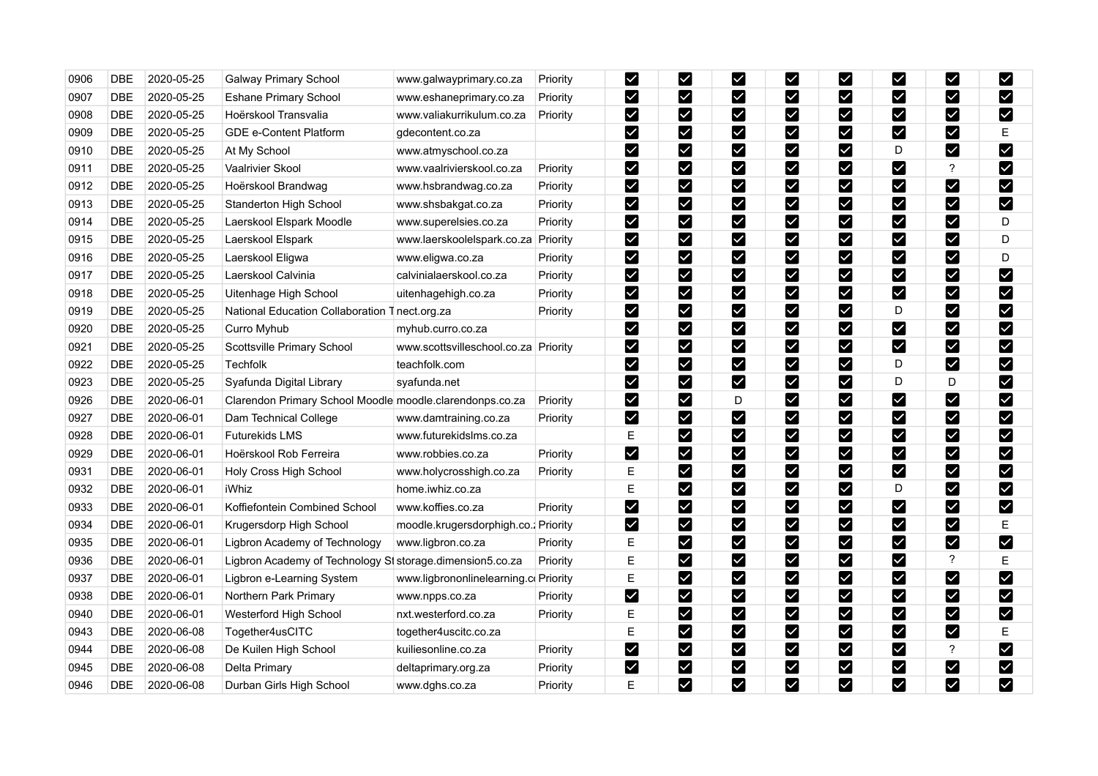| 0906 | <b>DBE</b> | 2020-05-25 | <b>Galway Primary School</b>                               | www.galwayprimary.co.za               | Priority | $\blacktriangleright$ | M                       | Z                      | $\blacktriangleright$   | ⊻                            | Ø                            | ⊻                            | M                     |
|------|------------|------------|------------------------------------------------------------|---------------------------------------|----------|-----------------------|-------------------------|------------------------|-------------------------|------------------------------|------------------------------|------------------------------|-----------------------|
| 0907 | <b>DBE</b> | 2020-05-25 | <b>Eshane Primary School</b>                               | www.eshaneprimary.co.za               | Priority | ⊻                     | M                       | $\blacktriangleright$  | M                       | M                            | ⊻                            | M                            | M                     |
| 0908 | <b>DBE</b> | 2020-05-25 | Hoërskool Transvalia                                       | www.valiakurrikulum.co.za             | Priority | M                     | M                       | Ø                      | $\blacktriangleright$   | ⊠                            | Ø                            | M                            | M                     |
| 0909 | <b>DBE</b> | 2020-05-25 | <b>GDE e-Content Platform</b>                              | gdecontent.co.za                      |          | $\blacktriangledown$  | M                       | $\blacktriangleright$  | $\overline{\mathbf{v}}$ | $\checkmark$                 | M                            | M                            | Ε                     |
| 0910 | <b>DBE</b> | 2020-05-25 | At My School                                               | www.atmyschool.co.za                  |          | M                     | M                       | Ø                      | M                       | $\boldsymbol{\triangledown}$ | D                            | $\boldsymbol{\triangledown}$ | M                     |
| 0911 | <b>DBE</b> | 2020-05-25 | Vaalrivier Skool                                           | www.vaalrivierskool.co.za             | Priority | M                     | M                       | M                      | M                       | M                            | Ø                            | $\overline{?}$               | M                     |
| 0912 | <b>DBE</b> | 2020-05-25 | Hoërskool Brandwag                                         | www.hsbrandwag.co.za                  | Priority | $\blacktriangleright$ | $\vert\mathbf{v}\vert$  | M                      | $\blacktriangleright$   | $\blacktriangledown$         | $\blacktriangledown$         | $\boldsymbol{\triangledown}$ | M                     |
| 0913 | <b>DBE</b> | 2020-05-25 | Standerton High School                                     | www.shsbakgat.co.za                   | Priority | M                     | $\overline{\mathbf{Y}}$ | $\blacktriangledown$   | $\blacktriangledown$    | $\blacktriangledown$         | M                            | M                            | M                     |
| 0914 | <b>DBE</b> | 2020-05-25 | Laerskool Elspark Moodle                                   | www.superelsies.co.za                 | Priority | M                     | M                       | $\blacktriangleright$  | $\blacktriangleright$   | $\boldsymbol{\nabla}$        | ⊻                            | <b>M</b>                     | D                     |
| 0915 | <b>DBE</b> | 2020-05-25 | Laerskool Elspark                                          | www.laerskoolelspark.co.za            | Priority | M                     | M                       | M                      | M                       | $\boldsymbol{\triangledown}$ | M                            | M                            | D                     |
| 0916 | DBE        | 2020-05-25 | Laerskool Eligwa                                           | www.eligwa.co.za                      | Priority | M                     | $\boldsymbol{\nabla}$   | M                      | $\vert\mathbf{v}\vert$  | $\vert\mathbf{v}\vert$       | V                            | M                            | D                     |
| 0917 | <b>DBE</b> | 2020-05-25 | Laerskool Calvinia                                         | calvinialaerskool.co.za               | Priority | $\blacktriangleright$ | M                       | $\blacktriangleright$  | $\blacktriangleright$   | $\blacktriangleright$        | $\blacktriangleright$        | $\blacktriangleright$        | $\blacktriangledown$  |
| 0918 | <b>DBE</b> | 2020-05-25 | Uitenhage High School                                      | uitenhagehigh.co.za                   | Priority | M                     | M                       | $\blacktriangleright$  | $\blacktriangleright$   | $\boldsymbol{\nabla}$        | $\boldsymbol{\triangledown}$ | M                            | $\blacktriangleright$ |
| 0919 | DBE        | 2020-05-25 | National Education Collaboration Tnect.org.za              |                                       | Priority | $\blacktriangleright$ | M                       | $\blacktriangleright$  | $\blacktriangleright$   | $\blacktriangledown$         | D                            | $\blacktriangleright$        | M                     |
| 0920 | <b>DBE</b> | 2020-05-25 | Curro Myhub                                                | myhub.curro.co.za                     |          | M                     | $\blacktriangleright$   | M                      | $\blacktriangleright$   | $\overline{\mathbf{Y}}$      | $\blacktriangledown$         | M                            | M                     |
| 0921 | <b>DBE</b> | 2020-05-25 | Scottsville Primary School                                 | www.scottsvilleschool.co.za Priority  |          | M                     | M                       | $\blacktriangledown$   | $\blacktriangleright$   | $\vert\mathbf{v}\vert$       | M                            | Ø                            | M                     |
| 0922 | DBE        | 2020-05-25 | <b>Techfolk</b>                                            | teachfolk.com                         |          | M                     | M                       | $\blacktriangledown$   | M                       | M                            | D                            | M                            | M                     |
| 0923 | DBE        | 2020-05-25 | Syafunda Digital Library                                   | syafunda.net                          |          | M                     | M                       | $\blacktriangleright$  | $\blacktriangleright$   | $\boldsymbol{\triangledown}$ | D                            | D                            | M                     |
| 0926 | <b>DBE</b> | 2020-06-01 | Clarendon Primary School Moodle moodle.clarendonps.co.za   |                                       | Priority | M                     | M                       | D                      | ☑                       | $\blacktriangledown$         | M                            | M                            | M                     |
| 0927 | <b>DBE</b> | 2020-06-01 | Dam Technical College                                      | www.damtraining.co.za                 | Priority | M                     | M                       | M                      | $\blacktriangleright$   | $\boldsymbol{\triangledown}$ | Ø                            | M                            | M                     |
| 0928 | DBE        | 2020-06-01 | Futurekids LMS                                             | www.futurekidslms.co.za               |          | $\mathsf E$           | M                       | M                      | M                       | M                            | M                            | M                            | $\blacktriangleright$ |
| 0929 | <b>DBE</b> | 2020-06-01 | Hoërskool Rob Ferreira                                     | www.robbies.co.za                     | Priority | M                     | M                       | M                      | M                       | $\overline{\textbf{Y}}$      | $\blacktriangledown$         | M                            | M                     |
| 0931 | <b>DBE</b> | 2020-06-01 | Holy Cross High School                                     | www.holycrosshigh.co.za               | Priority | E                     | $\vert\mathbf{v}\vert$  | $\vert\checkmark\vert$ | $\blacktriangleright$   | $\blacktriangledown$         | M                            | Ø                            | $\blacktriangledown$  |
| 0932 | DBE        | 2020-06-01 | iWhiz                                                      | home.iwhiz.co.za                      |          | $\mathsf E$           | M                       | $\blacktriangledown$   | M                       | M                            | D                            | M                            | M                     |
| 0933 | <b>DBE</b> | 2020-06-01 | Koffiefontein Combined School                              | www.koffies.co.za                     | Priority | $\blacktriangleright$ | M                       | $\blacktriangleright$  | $\blacktriangleright$   | $\blacktriangledown$         | Ø                            | M                            | M                     |
| 0934 | <b>DBE</b> | 2020-06-01 | Krugersdorp High School                                    | moodle.krugersdorphigh.co.; Priority  |          | M                     | M                       | M                      | $\overline{\mathbf{v}}$ | M                            | $\blacktriangledown$         | M                            | E                     |
| 0935 | <b>DBE</b> | 2020-06-01 | Ligbron Academy of Technology                              | www.ligbron.co.za                     | Priority | E                     | M                       | M                      | $\blacktriangleright$   | $\vert\mathbf{v}\vert$       | M                            | $\boldsymbol{\triangledown}$ | M                     |
| 0936 | <b>DBE</b> | 2020-06-01 | Ligbron Academy of Technology SI storage dimension 5.co.za |                                       | Priority | Е                     | $\blacktriangleright$   | M                      | $\blacktriangleright$   | $\boldsymbol{\vee}$          | ☑                            | $\boldsymbol{\mathcal{P}}$   | Е                     |
| 0937 | DBE        | 2020-06-01 | Ligbron e-Learning System                                  | www.ligbrononlinelearning.co Priority |          | E                     | M                       | M                      | M                       | $\vert\mathbf{v}\vert$       | M                            | M                            | M                     |
| 0938 | <b>DBE</b> | 2020-06-01 | Northern Park Primary                                      | www.npps.co.za                        | Priority | $\blacktriangledown$  | $\blacktriangleright$   | M                      | $\blacktriangleright$   | $\blacktriangledown$         | $\blacktriangleright$        | $\blacktriangleright$        | M                     |
| 0940 | <b>DBE</b> | 2020-06-01 | Westerford High School                                     | nxt.westerford.co.za                  | Priority | $\mathsf E$           | M                       | V                      | M                       | $\vert\mathbf{v}\vert$       | $\blacktriangleright$        | M                            | M                     |
| 0943 | <b>DBE</b> | 2020-06-08 | Together4usCITC                                            | together4uscitc.co.za                 |          | Е                     | M                       | $\vert\checkmark\vert$ | $\blacktriangleright$   | M                            | V                            | M                            | Е                     |
| 0944 | <b>DBE</b> | 2020-06-08 | De Kuilen High School                                      | kuiliesonline.co.za                   | Priority | M                     | M                       | $\blacktriangleright$  | M                       | Σ                            | M                            | ?                            | $\blacktriangleright$ |
| 0945 | <b>DBE</b> | 2020-06-08 | Delta Primary                                              | deltaprimary.org.za                   | Priority | $\blacktriangleright$ | M                       | M                      | $\blacktriangleright$   | M                            | M                            | M                            | $\blacktriangledown$  |
| 0946 | <b>DBE</b> | 2020-06-08 | Durban Girls High School                                   | www.dghs.co.za                        | Priority | E                     | M                       | $\blacktriangledown$   | M                       | $\blacktriangledown$         | V                            | M                            | M                     |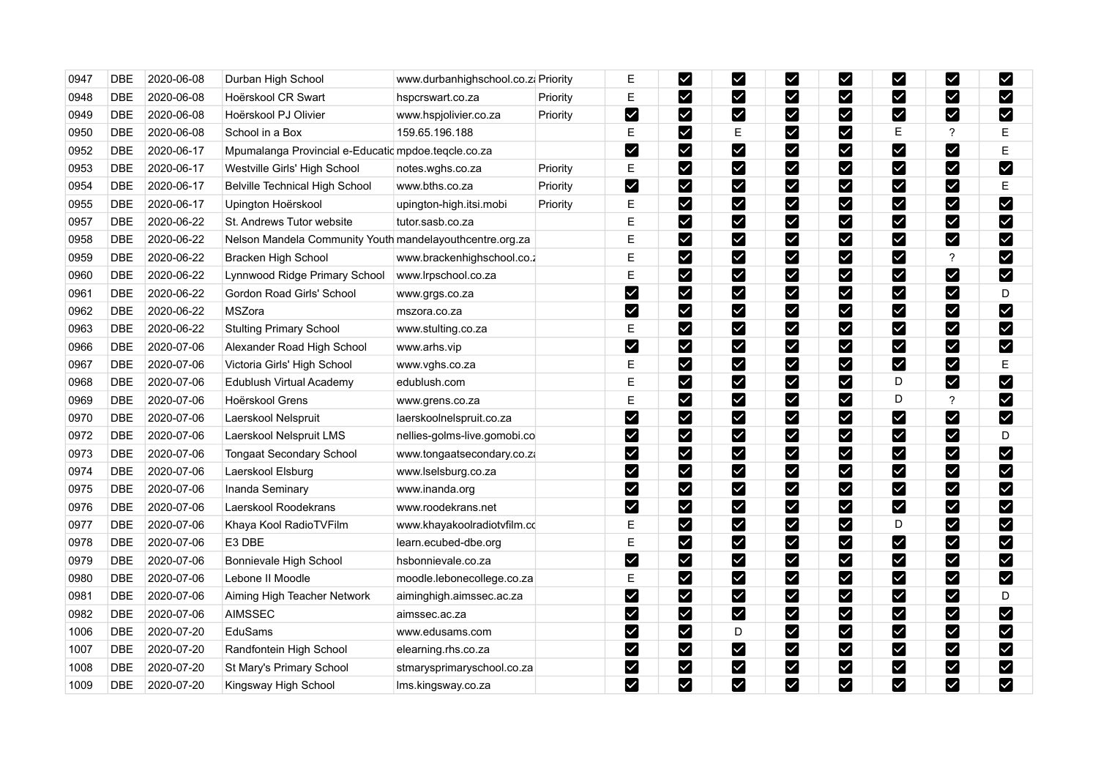| 0947 | <b>DBE</b> | 2020-06-08 | Durban High School                                       | www.durbanhighschool.co.z. Priority |          | Е                     | $\boldsymbol{\mathsf{z}}$ | Y                     | ⊻                            | $\overline{\mathsf{X}}$   | <u>Μ</u>                | M                            | $\blacktriangledown$ |
|------|------------|------------|----------------------------------------------------------|-------------------------------------|----------|-----------------------|---------------------------|-----------------------|------------------------------|---------------------------|-------------------------|------------------------------|----------------------|
| 0948 | <b>DBE</b> | 2020-06-08 | Hoërskool CR Swart                                       | hspcrswart.co.za                    | Priority | E                     | M                         | M                     | ☑                            | $\blacktriangledown$      | $\checkmark$            | M                            | Ø                    |
| 0949 | <b>DBE</b> | 2020-06-08 | Hoërskool PJ Olivier                                     | www.hspjolivier.co.za               | Priority | $\blacktriangleright$ | M                         | M                     | Ø                            | $\blacktriangledown$      | M                       | M                            | M                    |
| 0950 | <b>DBE</b> | 2020-06-08 | School in a Box                                          | 159.65.196.188                      |          | E                     | M                         | E                     | ☑                            | M                         | Ε                       | $\boldsymbol{\mathcal{P}}$   | Е                    |
| 0952 | <b>DBE</b> | 2020-06-17 | Mpumalanga Provincial e-Educatic mpdoe.teqcle.co.za      |                                     |          | $\blacktriangleright$ | M                         | M                     | M                            | M                         | V                       | $\boldsymbol{\triangledown}$ | E                    |
| 0953 | <b>DBE</b> | 2020-06-17 | Westville Girls' High School                             | notes.wghs.co.za                    | Priority | E                     | M                         | M                     | ☑                            | $\boldsymbol{\mathsf{z}}$ | V                       | M                            | $\blacktriangledown$ |
| 0954 | DBE        | 2020-06-17 | Belville Technical High School                           | www.bths.co.za                      | Priority | $\blacktriangleright$ | M                         | M                     | $\boldsymbol{\triangledown}$ | $\blacktriangledown$      | M                       | $\boldsymbol{\triangledown}$ | Ε                    |
| 0955 | <b>DBE</b> | 2020-06-17 | Upington Hoërskool                                       | upington-high.itsi.mobi             | Priority | E                     | M                         | $\blacktriangledown$  | M                            | ☑                         | $\blacktriangledown$    | M                            | M                    |
| 0957 | <b>DBE</b> | 2020-06-22 | St. Andrews Tutor website                                | tutor.sasb.co.za                    |          | E                     | M                         | $\blacktriangledown$  | M                            | M                         | $\checkmark$            | M                            | $\blacktriangledown$ |
| 0958 | DBE        | 2020-06-22 | Nelson Mandela Community Youth mandelayouthcentre.org.za |                                     |          | E                     | M                         | $\blacktriangledown$  | M                            | $\blacktriangleright$     | M                       | M                            | $\blacktriangledown$ |
| 0959 | <b>DBE</b> | 2020-06-22 | Bracken High School                                      | www.brackenhighschool.co.z          |          | E                     | M                         | $\blacktriangledown$  | M                            | M                         | Y                       | ?                            | M                    |
| 0960 | <b>DBE</b> | 2020-06-22 | Lynnwood Ridge Primary School                            | www.lrpschool.co.za                 |          | E                     | M                         | $\blacktriangledown$  | $\boldsymbol{\triangledown}$ | M                         | M                       | M                            | $\blacktriangledown$ |
| 0961 | DBE        | 2020-06-22 | Gordon Road Girls' School                                | www.grgs.co.za                      |          | $\blacktriangledown$  | M                         | M                     | M                            | M                         | $\boldsymbol{\vee}$     | $\blacktriangledown$         | D                    |
| 0962 | DBE        | 2020-06-22 | MSZora                                                   | mszora.co.za                        |          | $\blacktriangleright$ | M                         | M                     | $\boldsymbol{\triangledown}$ | $\blacktriangleright$     | M                       | M                            | $\blacktriangledown$ |
| 0963 | <b>DBE</b> | 2020-06-22 | <b>Stulting Primary School</b>                           | www.stulting.co.za                  |          | $\mathsf E$           | M                         | M                     | M                            | $\blacktriangledown$      | M                       | $\blacktriangleright$        | $\blacktriangledown$ |
| 0966 | DBE        | 2020-07-06 | Alexander Road High School                               | www.arhs.vip                        |          | $\blacktriangleright$ | M                         | $\blacktriangledown$  | $\boldsymbol{\triangledown}$ | $\blacktriangleright$     | M                       | M                            | $\blacktriangledown$ |
| 0967 | <b>DBE</b> | 2020-07-06 | Victoria Girls' High School                              | www.vghs.co.za                      |          | E                     | M                         | $\blacktriangleright$ | M                            | $\boldsymbol{\mathsf{w}}$ | M                       | M                            | Е                    |
| 0968 | <b>DBE</b> | 2020-07-06 | Edublush Virtual Academy                                 | edublush.com                        |          | E                     | <b>M</b>                  | M                     | Ø                            | $\vert\mathbf{v}\vert$    | D                       | M                            | M                    |
| 0969 | <b>DBE</b> | 2020-07-06 | Hoërskool Grens                                          | www.grens.co.za                     |          | E                     | M                         | M                     | M                            | $\blacktriangleright$     | D                       | $\boldsymbol{\mathcal{P}}$   | $\blacktriangledown$ |
| 0970 | <b>DBE</b> | 2020-07-06 | Laerskool Nelspruit                                      | laerskoolnelspruit.co.za            |          | M                     | M                         | M                     | M                            |                           | $\vert\mathbf{v}\vert$  | M                            | $\blacktriangledown$ |
| 0972 | DBE        | 2020-07-06 | Laerskool Nelspruit LMS                                  | nellies-golms-live.gomobi.co        |          | $\blacktriangleright$ | M                         | M                     | M                            | M                         | V                       | M                            | D                    |
| 0973 | DBE        | 2020-07-06 | <b>Tongaat Secondary School</b>                          | www.tongaatsecondary.co.za          |          | $\blacktriangledown$  | M                         | M                     | M                            | M                         | M                       | M                            | $\blacktriangledown$ |
| 0974 | DBE        | 2020-07-06 | Laerskool Elsburg                                        | www.lselsburg.co.za                 |          | $\blacktriangleright$ | M                         | $\blacktriangleright$ | $\boldsymbol{\triangledown}$ | ⊻                         | $\blacktriangledown$    | M                            | M                    |
| 0975 | <b>DBE</b> | 2020-07-06 | Inanda Seminary                                          | www.inanda.org                      |          | $\blacktriangledown$  | M                         | $\blacktriangledown$  | ☑                            | M                         | M                       | M                            | $\blacktriangledown$ |
| 0976 | DBE        | 2020-07-06 | Laerskool Roodekrans                                     | www.roodekrans.net                  |          | M                     | M                         | $\blacktriangleright$ | $\boldsymbol{\mathsf{z}}$    | M                         | M                       | M                            | $\blacktriangledown$ |
| 0977 | <b>DBE</b> | 2020-07-06 | Khaya Kool RadioTVFilm                                   | www.khayakoolradiotvfilm.cc         |          | Е                     | M                         | $\blacktriangleright$ | M                            | $\blacktriangledown$      | D                       | M                            | $\blacktriangledown$ |
| 0978 | <b>DBE</b> | 2020-07-06 | E3 DBE                                                   | learn.ecubed-dbe.org                |          | E                     | M                         | M                     | $\boldsymbol{\triangledown}$ | M                         | M                       | $\blacktriangleright$        | M                    |
| 0979 | DBE        | 2020-07-06 | Bonnievale High School                                   | hsbonnievale.co.za                  |          | $\blacktriangledown$  | $\boldsymbol{\mathsf{z}}$ | $\blacktriangleright$ | $\blacktriangleright$        | M                         | $\overline{\mathbf{Y}}$ | M                            | $\blacktriangledown$ |
| 0980 | <b>DBE</b> | 2020-07-06 | Lebone II Moodle                                         | moodle.lebonecollege.co.za          |          | E                     | M                         | M                     | M                            | M                         | M                       | M                            | $\blacktriangledown$ |
| 0981 | <b>DBE</b> | 2020-07-06 | Aiming High Teacher Network                              | aiminghigh.aimssec.ac.za            |          | M                     | M                         | M                     | $\boldsymbol{\triangledown}$ | Y                         | M                       | M                            | D                    |
| 0982 | DBE        | 2020-07-06 | <b>AIMSSEC</b>                                           | aimssec.ac.za                       |          | M                     | $\blacktriangleright$     | V                     | $\blacktriangleright$        | $\vee$                    | $\blacktriangledown$    | M                            | $\blacktriangledown$ |
| 1006 | DBE        | 2020-07-20 | EduSams                                                  | www.edusams.com                     |          | $\blacktriangleright$ | M                         | D                     | M                            | M                         | M                       | M                            | $\blacktriangledown$ |
| 1007 | <b>DBE</b> | 2020-07-20 | Randfontein High School                                  | elearning.rhs.co.za                 |          | $\blacktriangledown$  | M                         | M                     | ☑                            | M                         | M                       | M                            | $\blacktriangledown$ |
| 1008 | DBE        | 2020-07-20 | St Mary's Primary School                                 | stmarysprimaryschool.co.za          |          | $\blacktriangleright$ | M                         | $\blacktriangledown$  | $\boldsymbol{\triangledown}$ | $\blacktriangledown$      | M                       | M                            | $\blacktriangledown$ |
| 1009 | <b>DBE</b> | 2020-07-20 | Kingsway High School                                     | Ims.kingsway.co.za                  |          | M                     | M                         | $\blacktriangledown$  | M                            | $\blacktriangledown$      | M                       | M                            | $\blacktriangledown$ |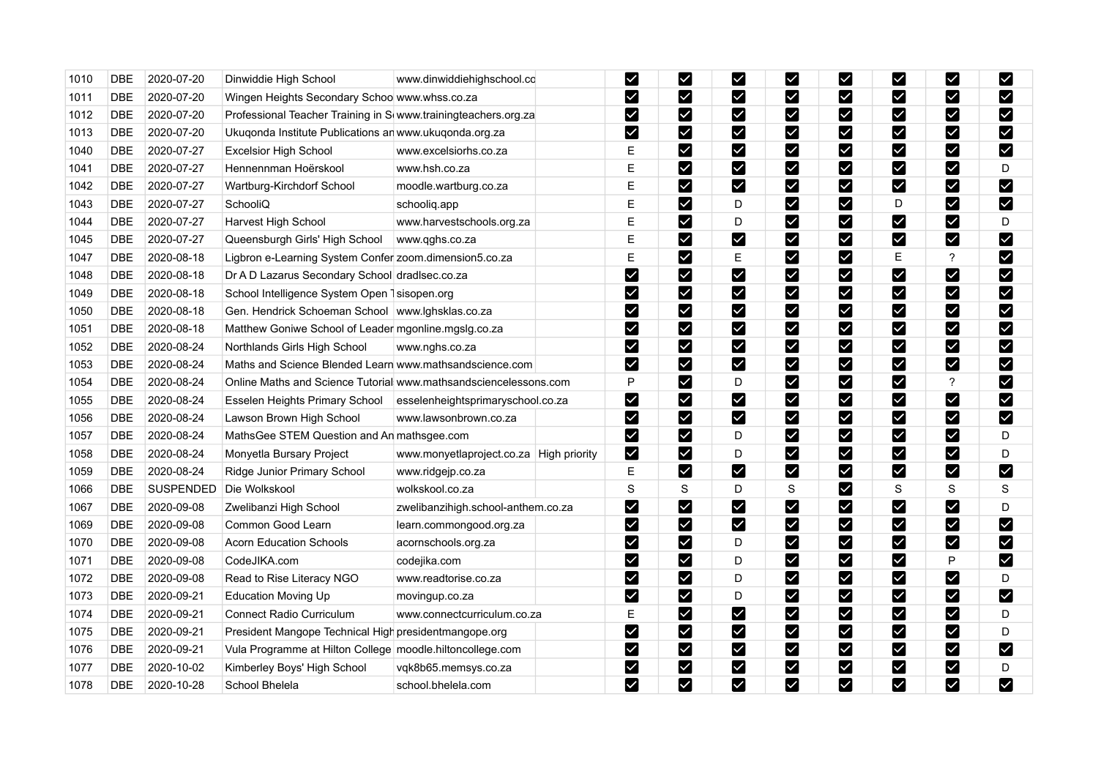| 1010 | <b>DBE</b> | 2020-07-20       | Dinwiddie High School                                            | www.dinwiddiehighschool.co              | $\blacktriangledown$  | M                         | M                     | ⊻                            | $\overline{\mathsf{X}}$   | <u>Μ</u>                | M                     | $\blacktriangledown$    |
|------|------------|------------------|------------------------------------------------------------------|-----------------------------------------|-----------------------|---------------------------|-----------------------|------------------------------|---------------------------|-------------------------|-----------------------|-------------------------|
| 1011 | <b>DBE</b> | 2020-07-20       | Wingen Heights Secondary Schoo www.whss.co.za                    |                                         | M                     | M                         | M                     | ☑                            | $\blacktriangledown$      | M                       | M                     | Ø                       |
| 1012 | <b>DBE</b> | 2020-07-20       | Professional Teacher Training in S www.trainingteachers.org.za   |                                         | $\blacktriangleright$ | M                         | M                     | M                            | M                         | M                       | M                     | $\blacktriangledown$    |
| 1013 | <b>DBE</b> | 2020-07-20       | Ukuqonda Institute Publications an www.ukuqonda.org.za           |                                         | $\blacktriangleright$ | M                         | M                     | M                            | M                         | M                       | M                     | $\blacktriangledown$    |
| 1040 | <b>DBE</b> | 2020-07-27       | <b>Excelsior High School</b>                                     | www.excelsiorhs.co.za                   | E                     | M                         | M                     | Ø                            | M                         | M                       | $\blacktriangleright$ | $\blacktriangledown$    |
| 1041 | DBE        | 2020-07-27       | Hennennman Hoërskool                                             | www.hsh.co.za                           | E                     | M                         | M                     | $\boldsymbol{\triangledown}$ | M                         | $\overline{\mathbf{v}}$ | M                     | D                       |
| 1042 | <b>DBE</b> | 2020-07-27       | Wartburg-Kirchdorf School                                        | moodle.wartburg.co.za                   | E                     | M                         | M                     | $\boldsymbol{\triangledown}$ | M                         | M                       | M                     | M                       |
| 1043 | <b>DBE</b> | 2020-07-27       | SchooliQ                                                         | schoolig.app                            | E                     | M                         | D                     | M                            | $\blacktriangleright$     | D                       | M                     | $\blacktriangledown$    |
| 1044 | <b>DBE</b> | 2020-07-27       | Harvest High School                                              | www.harvestschools.org.za               | E                     | M                         | D                     | M                            | M                         | $\vert\mathbf{v}\vert$  | M                     | D                       |
| 1045 | <b>DBE</b> | 2020-07-27       | Queensburgh Girls' High School                                   | www.qghs.co.za                          | E                     | M                         | $\blacktriangleright$ | M                            | M                         | M                       | M                     | $\blacktriangledown$    |
| 1047 | <b>DBE</b> | 2020-08-18       | Ligbron e-Learning System Confer zoom.dimension5.co.za           |                                         | E                     | M                         | Е                     | M                            | M                         | Е                       | $\overline{?}$        | $\blacktriangledown$    |
| 1048 | <b>DBE</b> | 2020-08-18       | Dr A D Lazarus Secondary School dradlsec.co.za                   |                                         | $\blacktriangleright$ | M                         | M                     | $\boldsymbol{\triangledown}$ | $\blacktriangleright$     | M                       | M                     | $\blacktriangledown$    |
| 1049 | <b>DBE</b> | 2020-08-18       | School Intelligence System Open 1 sisopen.org                    |                                         | $\blacktriangledown$  | M                         | M                     | $\blacktriangleright$        | M                         | $\blacktriangledown$    | M                     | $\blacktriangleright$   |
| 1050 | <b>DBE</b> | 2020-08-18       | Gen. Hendrick Schoeman School   www.lghsklas.co.za               |                                         | $\blacktriangleright$ | M                         | M                     | $\boldsymbol{\triangledown}$ | $\blacktriangleright$     | M                       | M                     | $\blacktriangledown$    |
| 1051 | <b>DBE</b> | 2020-08-18       | Matthew Goniwe School of Leader mgonline.mgslg.co.za             |                                         | $\blacktriangleright$ | M                         | M                     | M                            | $\blacktriangleright$     | M                       | M                     | $\blacktriangledown$    |
| 1052 | <b>DBE</b> | 2020-08-24       | Northlands Girls High School                                     | www.nghs.co.za                          | $\blacktriangleright$ | M                         | M                     | $\boldsymbol{\triangledown}$ | $\blacktriangleright$     | $\blacktriangledown$    | M                     | M                       |
| 1053 | <b>DBE</b> | 2020-08-24       | Maths and Science Blended Learn www.mathsandscience.com          |                                         | M                     | M                         | M                     | $\blacktriangleright$        | $\blacktriangleright$     | M                       | $\blacktriangleright$ | $\blacktriangledown$    |
| 1054 | <b>DBE</b> | 2020-08-24       | Online Maths and Science Tutorial www.mathsandsciencelessons.com |                                         | P                     | <b>M</b>                  | D                     | Ø                            | M                         | M                       | $\overline{?}$        | M                       |
| 1055 | <b>DBE</b> | 2020-08-24       | Esselen Heights Primary School                                   | esselenheightsprimaryschool.co.za       | $\blacktriangledown$  | M                         | M                     | M                            | $\blacktriangledown$      | M                       | M                     | $\blacktriangledown$    |
| 1056 | <b>DBE</b> | 2020-08-24       | Lawson Brown High School                                         | www.lawsonbrown.co.za                   | $\blacktriangledown$  | M                         | M                     | M                            | M                         | M                       | M                     | $\blacktriangledown$    |
| 1057 | <b>DBE</b> | 2020-08-24       | MathsGee STEM Question and An mathsgee.com                       |                                         | $\blacktriangleright$ | M                         | D                     | $\boldsymbol{\triangledown}$ | M                         | M                       | M                     | D                       |
| 1058 | DBE        | 2020-08-24       | Monyetla Bursary Project                                         | www.monyetlaproject.co.za High priority | $\blacktriangledown$  | M                         | D                     | M                            | M                         | M                       | M                     | D                       |
| 1059 | <b>DBE</b> | 2020-08-24       | Ridge Junior Primary School                                      | www.ridgejp.co.za                       | E                     | M                         | M                     | $\boldsymbol{\triangledown}$ | $\blacktriangledown$      | M                       | M                     | $\blacktriangledown$    |
| 1066 | <b>DBE</b> | <b>SUSPENDED</b> | Die Wolkskool                                                    | wolkskool.co.za                         | S                     | S                         | D                     | S                            | $\vee$                    | $\mathbf S$             | S                     | S                       |
| 1067 | <b>DBE</b> | 2020-09-08       | Zwelibanzi High School                                           | zwelibanzihigh.school-anthem.co.za      | $\blacktriangleright$ | M                         | M                     | $\blacktriangleright$        | M                         | $\blacktriangledown$    | $\blacktriangledown$  | D                       |
| 1069 | <b>DBE</b> | 2020-09-08       | Common Good Learn                                                | learn.commongood.org.za                 | $\blacktriangledown$  | M                         | M                     | $\blacktriangleright$        | M                         | M                       | M                     | $\blacktriangleright$   |
| 1070 | <b>DBE</b> | 2020-09-08       | <b>Acorn Education Schools</b>                                   | acornschools.org.za                     | $\blacktriangleright$ | M                         | D                     | $\boldsymbol{\triangledown}$ | M                         | M                       | $\blacktriangledown$  | $\blacktriangledown$    |
| 1071 | <b>DBE</b> | 2020-09-08       | CodeJIKA.com                                                     | codejika.com                            | $\blacktriangleright$ | $\boldsymbol{\mathsf{z}}$ | D                     | M                            | M                         | $\overline{\mathbf{v}}$ | P                     | $\blacktriangledown$    |
| 1072 | <b>DBE</b> | 2020-09-08       | Read to Rise Literacy NGO                                        | www.readtorise.co.za                    | M                     | M                         | D                     | M                            | M                         | $\blacktriangledown$    | K                     | D                       |
| 1073 | DBE        | 2020-09-21       | <b>Education Moving Up</b>                                       | movingup.co.za                          | $\blacktriangleright$ | M                         | D                     | M                            | $\blacktriangleright$     | M                       | M                     | $\blacktriangledown$    |
| 1074 | <b>DBE</b> | 2020-09-21       | <b>Connect Radio Curriculum</b>                                  | www.connectcurriculum.co.za             | E                     | M                         | M                     | M                            | M                         | $\blacktriangledown$    | M                     | D                       |
| 1075 | <b>DBE</b> | 2020-09-21       | President Mangope Technical High presidentmangope.org            |                                         | $\blacktriangleright$ | $\boldsymbol{\mathsf{z}}$ | $\blacktriangledown$  | $\boldsymbol{\triangledown}$ | $\boldsymbol{\mathsf{v}}$ | $\blacktriangledown$    | M                     | D                       |
| 1076 | <b>DBE</b> | 2020-09-21       | Vula Programme at Hilton College moodle.hiltoncollege.com        |                                         | M                     | M                         | M                     | ☑                            | M                         | M                       | M                     | $\blacktriangledown$    |
| 1077 | <b>DBE</b> | 2020-10-02       | Kimberley Boys' High School                                      | vqk8b65.memsys.co.za                    | $\blacktriangleright$ | M                         | M                     | Ø                            | $\blacktriangledown$      | M                       | M                     | D                       |
| 1078 | <b>DBE</b> | 2020-10-28       | School Bhelela                                                   | school.bhelela.com                      | M                     | M                         | M                     | M                            | $\blacktriangledown$      | $\blacktriangledown$    | $\blacktriangledown$  | $\overline{\mathsf{v}}$ |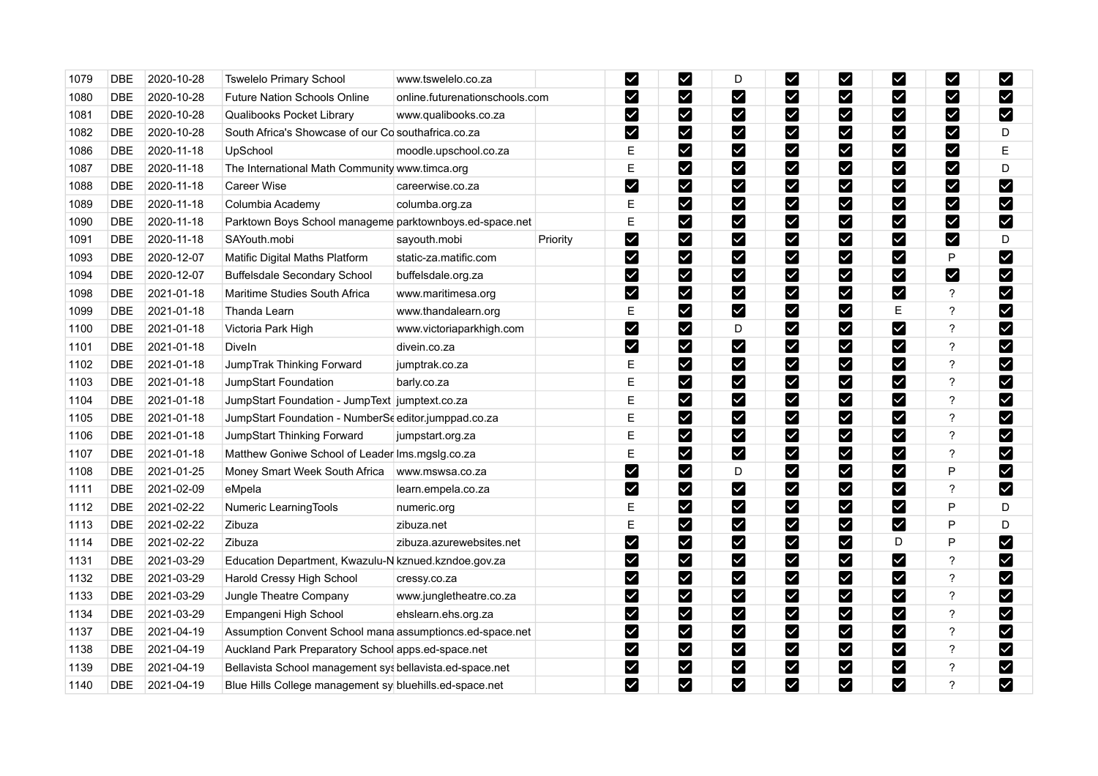| 1079 | <b>DBE</b>                | 2020-10-28 | <b>Tswelelo Primary School</b>                           | www.tswelelo.co.za             |          | $\blacktriangleright$ | $\blacktriangleright$        | D                    | M                            | ⊻                            | ⊻                            | ⊻                            | M                         |
|------|---------------------------|------------|----------------------------------------------------------|--------------------------------|----------|-----------------------|------------------------------|----------------------|------------------------------|------------------------------|------------------------------|------------------------------|---------------------------|
| 1080 | <b>DBE</b>                | 2020-10-28 | <b>Future Nation Schools Online</b>                      | online.futurenationschools.com |          | M                     | $\blacktriangleright$        | M                    | M                            | ⊻                            | ⊻                            | M                            | $\boldsymbol{\mathsf{w}}$ |
| 1081 | <b>DBE</b>                | 2020-10-28 | <b>Qualibooks Pocket Library</b>                         | www.qualibooks.co.za           |          | $\blacktriangleright$ | $\blacktriangledown$         | M                    | M                            | $\blacktriangledown$         | M                            | M                            | M                         |
| 1082 | <b>DBE</b>                | 2020-10-28 | South Africa's Showcase of our Co southafrica.co.za      |                                |          | $\blacktriangleright$ | $\overline{\textbf{Y}}$      | M                    | $\blacktriangledown$         | $\blacktriangleright$        | $\blacktriangledown$         | M                            | D                         |
| 1086 | <b>DBE</b>                | 2020-11-18 | UpSchool                                                 | moodle.upschool.co.za          |          | Ε                     | M                            | M                    | M                            | M                            | Ø                            | $\boldsymbol{\triangledown}$ | E                         |
| 1087 | $\overline{\mathsf{DBE}}$ | 2020-11-18 | The International Math Community www.timca.org           |                                |          | E                     | $\blacktriangleright$        | M                    | M                            | $\boxed{\checkmark}$         | Ø                            | M                            | D                         |
| 1088 | <b>DBE</b>                | 2020-11-18 | Career Wise                                              | careerwise.co.za               |          | M                     | $\overline{\mathsf{K}}$      | M                    | $\boldsymbol{\triangledown}$ | $\blacktriangleright$        | M                            | M                            | M                         |
| 1089 | <b>DBE</b>                | 2020-11-18 | Columbia Academy                                         | columba.org.za                 |          | E                     | $\blacktriangleright$        | V                    | $\blacktriangledown$         | $\blacktriangledown$         | M                            | M                            | M                         |
| 1090 | <b>DBE</b>                | 2020-11-18 | Parktown Boys School manageme parktownboys.ed-space.net  |                                |          | E                     | M                            | $\blacktriangledown$ | $\blacktriangleright$        | M                            | M                            | M                            | $\blacktriangledown$      |
| 1091 | <b>DBE</b>                | 2020-11-18 | SAYouth.mobi                                             | sayouth.mobi                   | Priority | M                     | M                            | M                    | M                            | V                            | Ø                            | M                            | D                         |
| 1093 | <b>DBE</b>                | 2020-12-07 | Matific Digital Maths Platform                           | static-za.matific.com          |          | M                     | M                            | M                    | M                            | M                            | M                            | P                            | $\blacktriangleright$     |
| 1094 | <b>DBE</b>                | 2020-12-07 | <b>Buffelsdale Secondary School</b>                      | buffelsdale.org.za             |          | M                     | $\blacktriangledown$         | $\blacktriangledown$ | $\blacktriangleright$        | $\blacktriangleright$        | $\blacktriangleright$        | M                            | M                         |
| 1098 | <b>DBE</b>                | 2021-01-18 | Maritime Studies South Africa                            | www.maritimesa.org             |          | M                     | $\blacktriangleright$        | M                    | M                            | $\blacktriangleright$        | $\boldsymbol{\triangledown}$ | $\boldsymbol{\mathcal{P}}$   | M                         |
| 1099 | <b>DBE</b>                | 2021-01-18 | Thanda Learn                                             | www.thandalearn.org            |          | E                     | $\blacktriangleright$        | $\blacktriangledown$ | $\blacktriangleright$        | $\blacktriangledown$         | Е                            | $\ddot{?}$                   | M                         |
| 1100 | <b>DBE</b>                | 2021-01-18 | Victoria Park High                                       | www.victoriaparkhigh.com       |          | $\blacktriangledown$  | $\blacktriangleright$        | D                    | M                            | $\blacktriangleright$        | $\blacktriangledown$         | ?                            | M                         |
| 1101 | <b>DBE</b>                | 2021-01-18 | Diveln                                                   | divein.co.za                   |          | $\blacktriangleright$ | $\blacktriangledown$         | M                    | $\blacktriangleright$        | $\blacktriangledown$         | M                            | ?                            | M                         |
| 1102 | <b>DBE</b>                | 2021-01-18 | JumpTrak Thinking Forward                                | jumptrak.co.za                 |          | E                     | $\overline{\textbf{Y}}$      | $\blacktriangledown$ | $\blacktriangleright$        | $\blacktriangleright$        | M                            | $\ddot{?}$                   | M                         |
| 1103 | <b>DBE</b>                | 2021-01-18 | JumpStart Foundation                                     | barly.co.za                    |          | E                     | $\boldsymbol{\triangledown}$ | M                    | M                            | $\boldsymbol{\triangledown}$ | M                            | $\overline{?}$               | M                         |
| 1104 | <b>DBE</b>                | 2021-01-18 | JumpStart Foundation - JumpText jumptext.co.za           |                                |          | Ε                     | $\blacktriangleright$        | $\boldsymbol{\vee}$  | $\overline{\mathbf{Y}}$      | $\blacktriangleright$        | M                            | ?                            | $\blacktriangleright$     |
| 1105 | <b>DBE</b>                | 2021-01-18 | JumpStart Foundation - NumberSe editor.jumppad.co.za     |                                |          | Ε                     | $\blacktriangledown$         | M                    | $\blacktriangledown$         | $\checkmark$                 | M                            | ?                            | M                         |
| 1106 | <b>DBE</b>                | 2021-01-18 | JumpStart Thinking Forward                               | jumpstart.org.za               |          | E                     | $\blacktriangledown$         | M                    | M                            | $\blacktriangleright$        | M                            | ?                            | $\blacktriangledown$      |
| 1107 | DBE                       | 2021-01-18 | Matthew Goniwe School of Leader Ims.mgslg.co.za          |                                |          | $\mathsf E$           | $\blacktriangleright$        | M                    | M                            | $\blacktriangleright$        | ☑                            | $\ddot{\phantom{0}}$         | $\blacktriangleright$     |
| 1108 | <b>DBE</b>                | 2021-01-25 | Money Smart Week South Africa                            | www.mswsa.co.za                |          | M                     | $\blacktriangleright$        | D                    | $\blacktriangledown$         | $\blacktriangleright$        | $\blacktriangleright$        | P                            | M                         |
| 1111 | <b>DBE</b>                | 2021-02-09 | eMpela                                                   | learn.empela.co.za             |          | $\blacktriangleright$ | $\blacktriangledown$         | M                    | M                            | $\blacktriangledown$         | M                            | $\overline{\mathbf{?}}$      | M                         |
| 1112 | <b>DBE</b>                | 2021-02-22 | Numeric LearningTools                                    | numeric.org                    |          | Е                     | $\blacktriangleright$        | $\blacktriangledown$ | M                            | $\blacktriangledown$         | M                            | P                            | D                         |
| 1113 | <b>DBE</b>                | 2021-02-22 | Zibuza                                                   | zibuza.net                     |          | Ε                     | $\boldsymbol{\nabla}$        | M                    | M                            | $\blacktriangleright$        | Ø                            | P                            | D                         |
| 1114 | <b>DBE</b>                | 2021-02-22 | Zibuza                                                   | zibuza.azurewebsites.net       |          | M                     | $\blacktriangledown$         | M                    | $\blacktriangledown$         | $\blacktriangledown$         | D                            | P                            | M                         |
| 1131 | <b>DBE</b>                | 2021-03-29 | Education Department, Kwazulu-N kznued kzndoe gov.za     |                                |          | M                     | $\blacktriangleright$        | M                    | M                            | $\blacktriangleright$        | Ø                            | ?                            | M                         |
| 1132 | <b>DBE</b>                | 2021-03-29 | Harold Cressy High School                                | cressy.co.za                   |          | $\blacktriangledown$  | M                            | M                    | $\blacktriangleright$        | M                            | M                            | ?                            | $\blacktriangleright$     |
| 1133 | <b>DBE</b>                | 2021-03-29 | Jungle Theatre Company                                   | www.jungletheatre.co.za        |          | $\blacktriangledown$  | $\blacktriangledown$         | $\blacktriangledown$ | $\blacktriangleright$        | $\blacktriangleright$        | $\blacktriangleright$        | ?                            | M                         |
| 1134 | <b>DBE</b>                | 2021-03-29 | Empangeni High School                                    | ehslearn.ehs.org.za            |          | $\blacktriangleright$ | $\blacktriangledown$         | M                    | M                            | $\blacktriangledown$         | ☑                            | ?                            | M                         |
| 1137 | <b>DBE</b>                | 2021-04-19 | Assumption Convent School mana assumptioncs.ed-space.net |                                |          | $\blacktriangleright$ | $\blacktriangledown$         | $\blacktriangledown$ | $\blacktriangleright$        | $\blacktriangledown$         | M                            | $\ddot{?}$                   | $\blacktriangledown$      |
| 1138 | <b>DBE</b>                | 2021-04-19 | Auckland Park Preparatory School apps.ed-space.net       |                                |          | M                     | $\bm \vee$                   | M                    | M                            | ⊻                            | ⊻                            | ?                            | M                         |
| 1139 | <b>DBE</b>                | 2021-04-19 | Bellavista School management sys bellavista ed-space net |                                |          | $\blacktriangleright$ | $\blacktriangledown$         | M                    | $\blacktriangleright$        | $\blacktriangledown$         | M                            | ?                            | $\blacktriangledown$      |
| 1140 | <b>DBE</b>                | 2021-04-19 | Blue Hills College management sy bluehills.ed-space.net  |                                |          | M                     | M                            | M                    | M                            | $\blacktriangledown$         | M                            | $\overline{\phantom{a}}$     | M                         |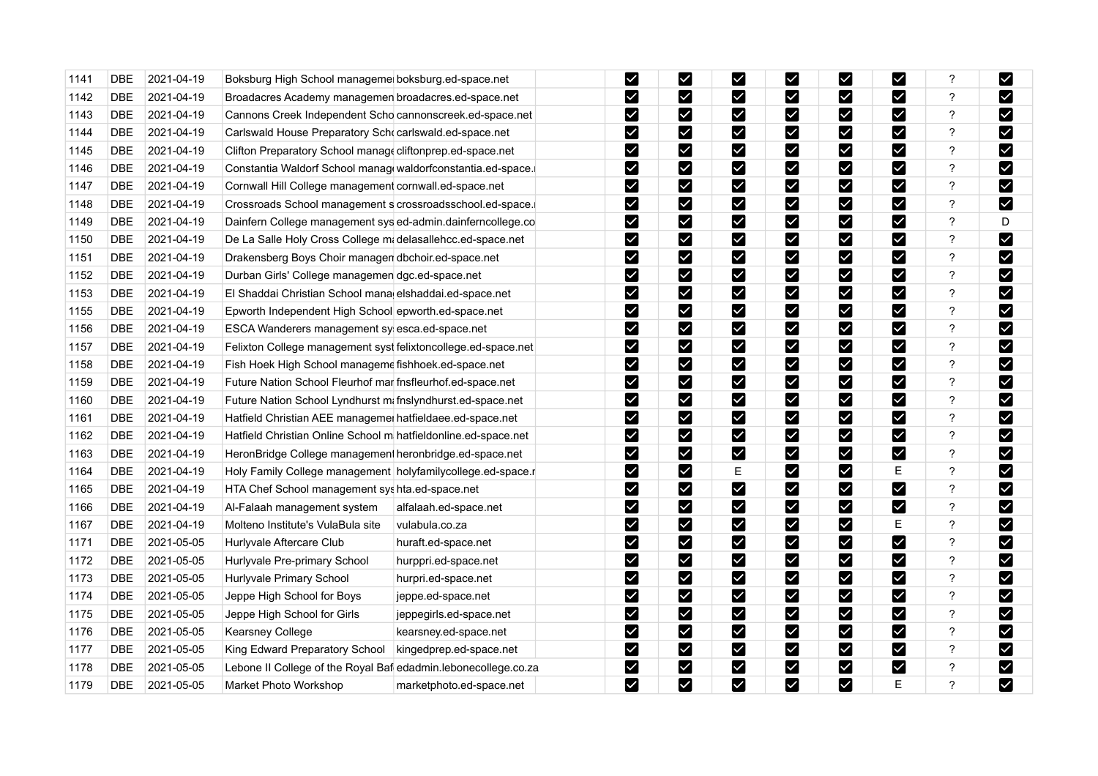| 1141 | <b>DBE</b> | 2021-04-19 | Boksburg High School manageme boksburg.ed-space.net            |                          | $\blacktriangleright$ | M                     | M                     | $\blacktriangleright$ | M                            | $\blacktriangleright$ | ?                        | M                     |
|------|------------|------------|----------------------------------------------------------------|--------------------------|-----------------------|-----------------------|-----------------------|-----------------------|------------------------------|-----------------------|--------------------------|-----------------------|
| 1142 | <b>DBE</b> | 2021-04-19 | Broadacres Academy managemen broadacres.ed-space.net           |                          | M                     | M                     | M                     | M                     | M                            | ⊻                     | ?                        | M                     |
| 1143 | <b>DBE</b> | 2021-04-19 | Cannons Creek Independent Scho cannonscreek.ed-space.net       |                          | M                     | M                     | M                     | M                     | M                            | M                     | ?                        | M                     |
| 1144 | <b>DBE</b> | 2021-04-19 | Carlswald House Preparatory Schocarlswald.ed-space.net         |                          | $\blacktriangledown$  | M                     | M                     | M                     | $\vert\mathbf{v}\vert$       | $\blacktriangledown$  | $\ddot{\phantom{0}}$     | $\blacktriangleright$ |
| 1145 | <b>DBE</b> | 2021-04-19 | Clifton Preparatory School manage cliftonprep.ed-space.net     |                          | M                     | M                     | M                     | M                     | M                            | V                     | ?                        | M                     |
| 1146 | <b>DBE</b> | 2021-04-19 | Constantia Waldorf School manage waldorfconstantia.ed-space.   |                          | M                     | M                     | $\blacktriangleright$ | M                     | $\vert\mathbf{v}\vert$       | $\blacktriangledown$  | ?                        | M                     |
| 1147 | DBE        | 2021-04-19 | Cornwall Hill College management cornwall.ed-space.net         |                          | M                     | M                     | $\blacktriangleright$ | $\blacktriangleright$ | M                            | $\blacktriangledown$  | ?                        | M                     |
| 1148 | <b>DBE</b> | 2021-04-19 | Crossroads School management s crossroadsschool.ed-space.      |                          | M                     | M                     | M                     | M                     | $\vert\mathbf{v}\vert$       | Ø                     | ?                        | M                     |
| 1149 | <b>DBE</b> | 2021-04-19 | Dainfern College management sys ed-admin.dainferncollege.co    |                          | M                     | M                     | $\blacktriangleright$ | $\blacktriangleright$ | $\boldsymbol{\nabla}$        | M                     | $\overline{?}$           | D                     |
| 1150 | DBE        | 2021-04-19 | De La Salle Holy Cross College mi delasallehcc.ed-space.net    |                          | M                     | M                     | M                     | $\blacktriangledown$  | M                            | M                     | ?                        | $\blacktriangleright$ |
| 1151 | <b>DBE</b> | 2021-04-19 | Drakensberg Boys Choir managen dbchoir.ed-space.net            |                          | M                     | M                     | M                     | M                     | M                            | ☑                     | ?                        | $\blacktriangledown$  |
| 1152 | <b>DBE</b> | 2021-04-19 | Durban Girls' College managemen dgc.ed-space.net               |                          | M                     | M                     | M                     | M                     | $\blacktriangledown$         | M                     | ?                        | $\blacktriangledown$  |
| 1153 | DBE        | 2021-04-19 | El Shaddai Christian School mana elshaddai.ed-space.net        |                          | $\blacktriangleright$ | M                     | $\blacktriangledown$  | $\blacktriangledown$  | M                            | $\blacktriangleright$ | ?                        | $\blacktriangleright$ |
| 1155 | DBE        | 2021-04-19 | Epworth Independent High School epworth.ed-space.net           |                          | M                     | M                     | M                     | M                     | M                            | M                     | ?                        | M                     |
| 1156 | <b>DBE</b> | 2021-04-19 | ESCA Wanderers management sy esca.ed-space.net                 |                          | $\blacktriangleright$ | M                     | $\blacktriangleright$ | M                     | M                            | M                     | $\overline{\mathcal{C}}$ | M                     |
| 1157 | <b>DBE</b> | 2021-04-19 | Felixton College management syst felixtoncollege.ed-space.net  |                          | $\blacktriangleright$ | M                     | M                     | $\blacktriangleright$ | M                            | M                     | $\ddot{\phantom{0}}$     | M                     |
| 1158 | <b>DBE</b> | 2021-04-19 | Fish Hoek High School manageme fishhoek.ed-space.net           |                          | M                     | M                     | M                     | M                     | M                            | $\blacktriangleright$ | ?                        | M                     |
| 1159 | <b>DBE</b> | 2021-04-19 | Future Nation School Fleurhof mar fnsfleurhof.ed-space.net     |                          | $\blacktriangleright$ | M                     | M                     | M                     | M                            | M                     | ?                        | $\blacktriangleright$ |
| 1160 | <b>DBE</b> | 2021-04-19 | Future Nation School Lyndhurst mi fnslyndhurst.ed-space.net    |                          | M                     | M                     | M                     | M                     | $\boldsymbol{\triangledown}$ | M                     | $\ddot{?}$               | M                     |
| 1161 | <b>DBE</b> | 2021-04-19 | Hatfield Christian AEE managemei hatfieldaee.ed-space.net      |                          | M                     | M                     | M                     | M                     | Ø                            | Ø                     | ?                        | $\blacktriangledown$  |
| 1162 | <b>DBE</b> | 2021-04-19 | Hatfield Christian Online School m hatfieldonline.ed-space.net |                          | M                     | M                     | M                     | M                     | M                            | M                     | ?                        | M                     |
| 1163 | DBE        | 2021-04-19 | HeronBridge College management heronbridge.ed-space.net        |                          | $\blacktriangledown$  | M                     | $\blacktriangleright$ | M                     | $\overline{\textbf{Y}}$      | V                     | ?                        | M                     |
| 1164 | <b>DBE</b> | 2021-04-19 | Holy Family College management holyfamilycollege.ed-space.r    |                          | M                     | M                     | Е                     | M                     | $\overline{\mathbf{v}}$      | Ε                     | ?                        | M                     |
| 1165 | <b>DBE</b> | 2021-04-19 | HTA Chef School management syshta.ed-space.net                 |                          | M                     | M                     | $\blacktriangleright$ | M                     | M                            | $\blacktriangledown$  | $\overline{?}$           | $\blacktriangleright$ |
| 1166 | DBE        | 2021-04-19 | Al-Falaah management system                                    | alfalaah.ed-space.net    | M                     | M                     | $\blacktriangleright$ | $\boldsymbol{\vee}$   | M                            | M                     | ?                        | $\blacktriangleright$ |
| 1167 | <b>DBE</b> | 2021-04-19 | Molteno Institute's VulaBula site                              | vulabula.co.za           | $\blacktriangledown$  | $\blacktriangleright$ | Y                     | $\blacktriangleright$ | $\overline{\mathbf{v}}$      | Ε                     | ?                        | $\blacktriangleright$ |
| 1171 | <b>DBE</b> | 2021-05-05 | Hurlyvale Aftercare Club                                       | huraft.ed-space.net      | M                     | M                     | $\blacktriangleright$ | $\blacktriangleright$ | $\vert\mathbf{v}\vert$       | M                     | ?                        | M                     |
| 1172 | DBE        | 2021-05-05 | Hurlyvale Pre-primary School                                   | hurppri.ed-space.net     | $\blacktriangledown$  | $\blacktriangleright$ | $\blacktriangledown$  | M                     | M                            | M                     | ?                        | M                     |
| 1173 | DBE        | 2021-05-05 | Hurlyvale Primary School                                       | hurpri.ed-space.net      | V                     | M                     | M                     | M                     | V                            | M                     | ?                        | M                     |
| 1174 | <b>DBE</b> | 2021-05-05 | Jeppe High School for Boys                                     | jeppe.ed-space.net       | $\blacktriangleright$ | $\blacktriangleright$ | M                     | M                     | M                            | Ø                     | $\overline{\mathcal{C}}$ | M                     |
| 1175 | <b>DBE</b> | 2021-05-05 | Jeppe High School for Girls                                    | jeppegirls.ed-space.net  | $\blacktriangledown$  | M                     | Y                     | M                     | $\vert\mathbf{v}\vert$       | M                     | $\ddot{?}$               | M                     |
| 1176 | DBE        | 2021-05-05 | Kearsney College                                               | kearsney.ed-space.net    | M                     | M                     | Ø                     | M                     | ⊠                            | M                     | ?                        | M                     |
| 1177 | <b>DBE</b> | 2021-05-05 | King Edward Preparatory School                                 | kingedprep.ed-space.net  | $\blacktriangleright$ | M                     | M                     | M                     | M                            | M                     | ?                        | $\blacktriangleright$ |
| 1178 | DBE        | 2021-05-05 | Lebone II College of the Royal Baf edadmin.lebonecollege.co.za |                          | $\blacktriangleright$ | M                     | $\blacktriangledown$  | $\blacktriangleright$ | M                            | M                     | $\ddot{\phantom{0}}$     | $\blacktriangleright$ |
| 1179 | <b>DBE</b> | 2021-05-05 | Market Photo Workshop                                          | marketphoto.ed-space.net | $\blacktriangledown$  | M                     | $\blacktriangledown$  | M                     | M                            | E                     | $\overline{?}$           | M                     |